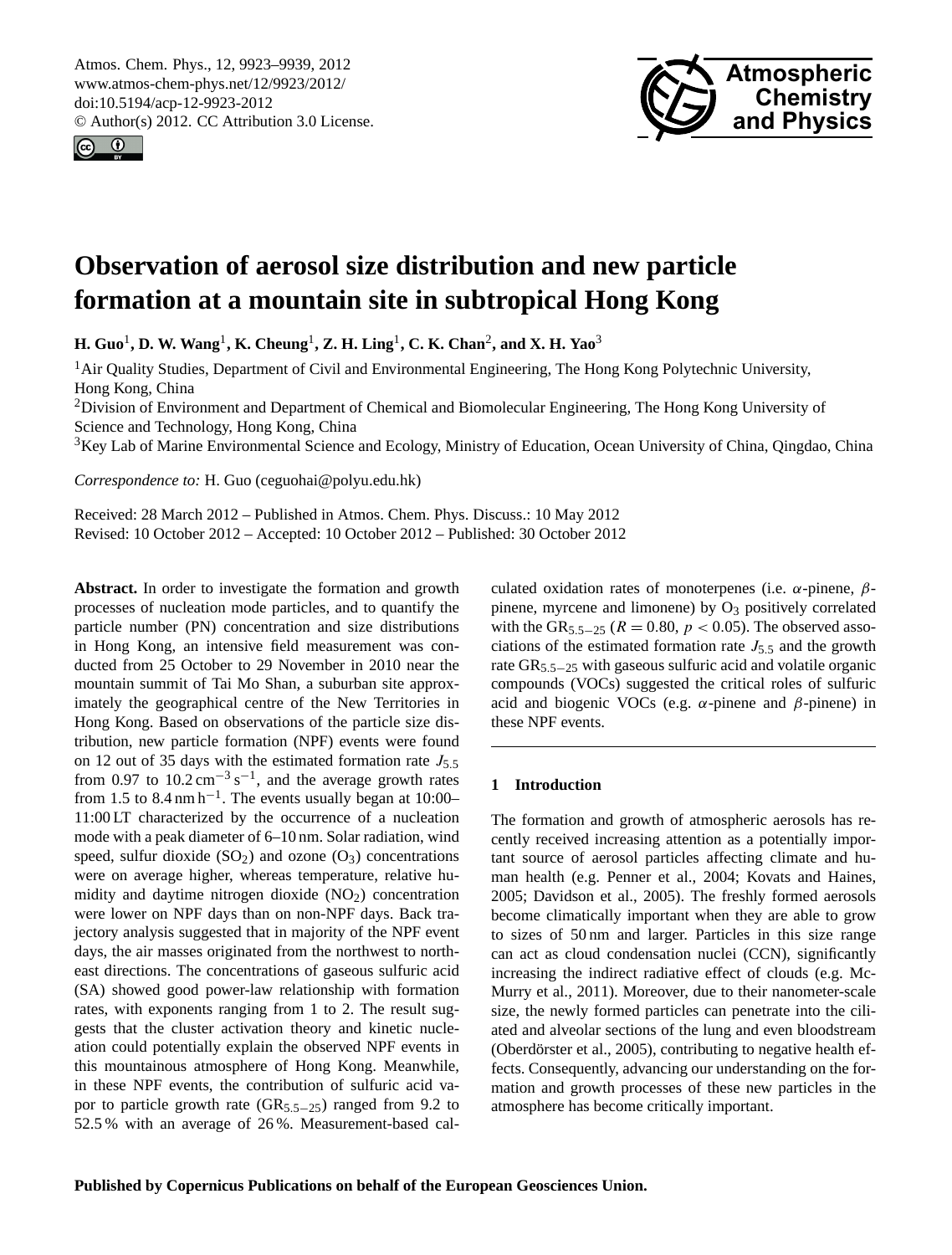<span id="page-0-0"></span>Atmos. Chem. Phys., 12, 9923–9939, 2012 www.atmos-chem-phys.net/12/9923/2012/ doi:10.5194/acp-12-9923-2012 © Author(s) 2012. CC Attribution 3.0 License.





# **Observation of aerosol size distribution and new particle formation at a mountain site in subtropical Hong Kong**

**H. Guo**<sup>1</sup> **, D. W. Wang**<sup>1</sup> **, K. Cheung**<sup>1</sup> **, Z. H. Ling**<sup>1</sup> **, C. K. Chan**<sup>2</sup> **, and X. H. Yao**<sup>3</sup>

<sup>1</sup>Air Quality Studies, Department of Civil and Environmental Engineering, The Hong Kong Polytechnic University, Hong Kong, China

<sup>2</sup>Division of Environment and Department of Chemical and Biomolecular Engineering, The Hong Kong University of Science and Technology, Hong Kong, China

<sup>3</sup>Key Lab of Marine Environmental Science and Ecology, Ministry of Education, Ocean University of China, Qingdao, China

*Correspondence to:* H. Guo (ceguohai@polyu.edu.hk)

Received: 28 March 2012 – Published in Atmos. Chem. Phys. Discuss.: 10 May 2012 Revised: 10 October 2012 – Accepted: 10 October 2012 – Published: 30 October 2012

**Abstract.** In order to investigate the formation and growth processes of nucleation mode particles, and to quantify the particle number (PN) concentration and size distributions in Hong Kong, an intensive field measurement was conducted from 25 October to 29 November in 2010 near the mountain summit of Tai Mo Shan, a suburban site approximately the geographical centre of the New Territories in Hong Kong. Based on observations of the particle size distribution, new particle formation (NPF) events were found on 12 out of 35 days with the estimated formation rate  $J_5$ . from 0.97 to  $10.2 \text{ cm}^{-3} \text{ s}^{-1}$ , and the average growth rates from 1.5 to  $8.4 \text{ nm h}^{-1}$ . The events usually began at 10:00– 11:00 LT characterized by the occurrence of a nucleation mode with a peak diameter of 6–10 nm. Solar radiation, wind speed, sulfur dioxide  $(SO_2)$  and ozone  $(O_3)$  concentrations were on average higher, whereas temperature, relative humidity and daytime nitrogen dioxide  $(NO<sub>2</sub>)$  concentration were lower on NPF days than on non-NPF days. Back trajectory analysis suggested that in majority of the NPF event days, the air masses originated from the northwest to northeast directions. The concentrations of gaseous sulfuric acid (SA) showed good power-law relationship with formation rates, with exponents ranging from 1 to 2. The result suggests that the cluster activation theory and kinetic nucleation could potentially explain the observed NPF events in this mountainous atmosphere of Hong Kong. Meanwhile, in these NPF events, the contribution of sulfuric acid vapor to particle growth rate  $(GR_{5,5-25})$  ranged from 9.2 to 52.5 % with an average of 26 %. Measurement-based calculated oxidation rates of monoterpenes (i.e.  $\alpha$ -pinene,  $\beta$ pinene, myrcene and limonene) by  $O_3$  positively correlated with the GR<sub>5.5−25</sub> ( $R = 0.80$ ,  $p < 0.05$ ). The observed associations of the estimated formation rate  $J_{5.5}$  and the growth rate GR5.5−<sup>25</sup> with gaseous sulfuric acid and volatile organic compounds (VOCs) suggested the critical roles of sulfuric acid and biogenic VOCs (e.g.  $\alpha$ -pinene and  $\beta$ -pinene) in these NPF events.

## **1 Introduction**

The formation and growth of atmospheric aerosols has recently received increasing attention as a potentially important source of aerosol particles affecting climate and human health (e.g. Penner et al., 2004; Kovats and Haines, 2005; Davidson et al., 2005). The freshly formed aerosols become climatically important when they are able to grow to sizes of 50 nm and larger. Particles in this size range can act as cloud condensation nuclei (CCN), significantly increasing the indirect radiative effect of clouds (e.g. Mc-Murry et al., 2011). Moreover, due to their nanometer-scale size, the newly formed particles can penetrate into the ciliated and alveolar sections of the lung and even bloodstream (Oberdörster et al., 2005), contributing to negative health effects. Consequently, advancing our understanding on the formation and growth processes of these new particles in the atmosphere has become critically important.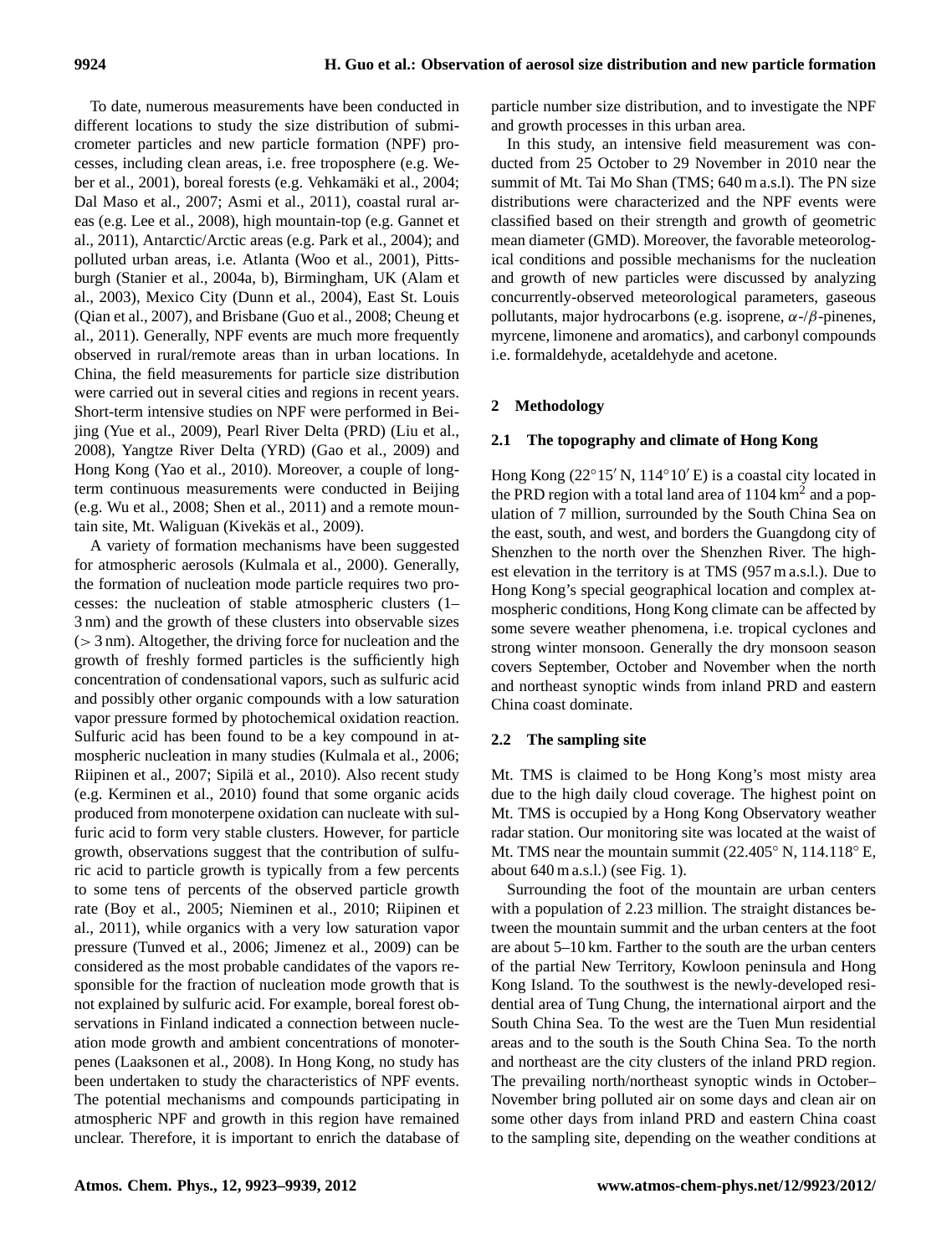To date, numerous measurements have been conducted in different locations to study the size distribution of submicrometer particles and new particle formation (NPF) processes, including clean areas, i.e. free troposphere (e.g. Weber et al., 2001), boreal forests (e.g. Vehkamäki et al., 2004; Dal Maso et al., 2007; Asmi et al., 2011), coastal rural areas (e.g. Lee et al., 2008), high mountain-top (e.g. Gannet et al., 2011), Antarctic/Arctic areas (e.g. Park et al., 2004); and polluted urban areas, i.e. Atlanta (Woo et al., 2001), Pittsburgh (Stanier et al., 2004a, b), Birmingham, UK (Alam et al., 2003), Mexico City (Dunn et al., 2004), East St. Louis (Qian et al., 2007), and Brisbane (Guo et al., 2008; Cheung et al., 2011). Generally, NPF events are much more frequently observed in rural/remote areas than in urban locations. In China, the field measurements for particle size distribution were carried out in several cities and regions in recent years. Short-term intensive studies on NPF were performed in Beijing (Yue et al., 2009), Pearl River Delta (PRD) (Liu et al., 2008), Yangtze River Delta (YRD) (Gao et al., 2009) and Hong Kong (Yao et al., 2010). Moreover, a couple of longterm continuous measurements were conducted in Beijing (e.g. Wu et al., 2008; Shen et al., 2011) and a remote mountain site, Mt. Waliguan (Kivekäs et al., 2009).

A variety of formation mechanisms have been suggested for atmospheric aerosols (Kulmala et al., 2000). Generally, the formation of nucleation mode particle requires two processes: the nucleation of stable atmospheric clusters (1– 3 nm) and the growth of these clusters into observable sizes  $(> 3 \text{ nm})$ . Altogether, the driving force for nucleation and the growth of freshly formed particles is the sufficiently high concentration of condensational vapors, such as sulfuric acid and possibly other organic compounds with a low saturation vapor pressure formed by photochemical oxidation reaction. Sulfuric acid has been found to be a key compound in atmospheric nucleation in many studies (Kulmala et al., 2006; Riipinen et al., 2007; Sipilä et al., 2010). Also recent study (e.g. Kerminen et al., 2010) found that some organic acids produced from monoterpene oxidation can nucleate with sulfuric acid to form very stable clusters. However, for particle growth, observations suggest that the contribution of sulfuric acid to particle growth is typically from a few percents to some tens of percents of the observed particle growth rate (Boy et al., 2005; Nieminen et al., 2010; Riipinen et al., 2011), while organics with a very low saturation vapor pressure (Tunved et al., 2006; Jimenez et al., 2009) can be considered as the most probable candidates of the vapors responsible for the fraction of nucleation mode growth that is not explained by sulfuric acid. For example, boreal forest observations in Finland indicated a connection between nucleation mode growth and ambient concentrations of monoterpenes (Laaksonen et al., 2008). In Hong Kong, no study has been undertaken to study the characteristics of NPF events. The potential mechanisms and compounds participating in atmospheric NPF and growth in this region have remained unclear. Therefore, it is important to enrich the database of particle number size distribution, and to investigate the NPF and growth processes in this urban area.

In this study, an intensive field measurement was conducted from 25 October to 29 November in 2010 near the summit of Mt. Tai Mo Shan (TMS; 640 m a.s.l). The PN size distributions were characterized and the NPF events were classified based on their strength and growth of geometric mean diameter (GMD). Moreover, the favorable meteorological conditions and possible mechanisms for the nucleation and growth of new particles were discussed by analyzing concurrently-observed meteorological parameters, gaseous pollutants, major hydrocarbons (e.g. isoprene,  $\alpha$ -/ $\beta$ -pinenes, myrcene, limonene and aromatics), and carbonyl compounds i.e. formaldehyde, acetaldehyde and acetone.

# **2 Methodology**

# **2.1 The topography and climate of Hong Kong**

Hong Kong ( $22°15'$  N,  $114°10'E$ ) is a coastal city located in the PRD region with a total land area of  $1104 \text{ km}^2$  and a population of 7 million, surrounded by the South China Sea on the east, south, and west, and borders the Guangdong city of Shenzhen to the north over the Shenzhen River. The highest elevation in the territory is at TMS (957 m a.s.l.). Due to Hong Kong's special geographical location and complex atmospheric conditions, Hong Kong climate can be affected by some severe weather phenomena, i.e. tropical cyclones and strong winter monsoon. Generally the dry monsoon season covers September, October and November when the north and northeast synoptic winds from inland PRD and eastern China coast dominate.

## **2.2 The sampling site**

Mt. TMS is claimed to be Hong Kong's most misty area due to the high daily cloud coverage. The highest point on Mt. TMS is occupied by a Hong Kong Observatory weather radar station. Our monitoring site was located at the waist of Mt. TMS near the mountain summit (22.405◦ N, 114.118◦ E, about 640 m a.s.l.) (see Fig. 1).

Surrounding the foot of the mountain are urban centers with a population of 2.23 million. The straight distances between the mountain summit and the urban centers at the foot are about 5–10 km. Farther to the south are the urban centers of the partial New Territory, Kowloon peninsula and Hong Kong Island. To the southwest is the newly-developed residential area of Tung Chung, the international airport and the South China Sea. To the west are the Tuen Mun residential areas and to the south is the South China Sea. To the north and northeast are the city clusters of the inland PRD region. The prevailing north/northeast synoptic winds in October– November bring polluted air on some days and clean air on some other days from inland PRD and eastern China coast to the sampling site, depending on the weather conditions at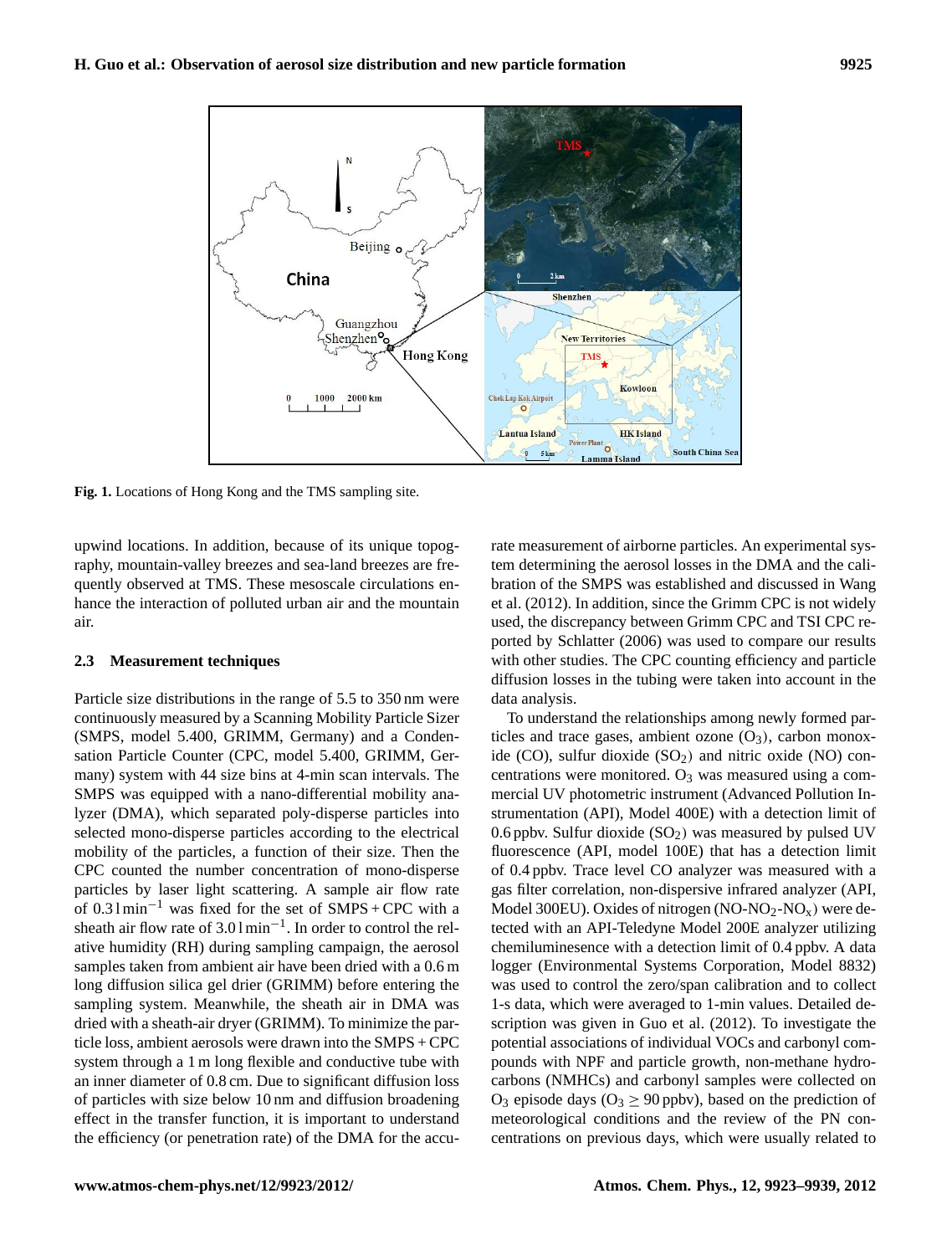

88 **Figure 1** Locations of Hong Kong and the TMS sampling site. **Fig. 1.** Locations of Hong Kong and the TMS sampling site.

about the interaction of polluted urban air and the mountain upwind locations. In addition, because of its unique topography, mountain-valley breezes and sea-land breezes are frequently observed at TMS. These mesoscale circulations enair.

#### **2.3 Measurement techniques**

continuously measured by a Scanning Mobility Particle Sizer To understand the relationships among newly formed par-Particle size distributions in the range of 5.5 to 350 nm were (SMPS, model 5.400, GRIMM, Germany) and a Condensation Particle Counter (CPC, model 5.400, GRIMM, Germany) system with 44 size bins at 4-min scan intervals. The SMPS was equipped with a nano-differential mobility analyzer (DMA), which separated poly-disperse particles into selected mono-disperse particles according to the electrical mobility of the particles, a function of their size. Then the CPC counted the number concentration of mono-disperse particles by laser light scattering. A sample air flow rate of  $0.31$  min<sup>-1</sup> was fixed for the set of SMPS + CPC with a sheath air flow rate of  $3.01 \text{min}^{-1}$ . In order to control the relative humidity (RH) during sampling campaign, the aerosol samples taken from ambient air have been dried with a 0.6 m long diffusion silica gel drier (GRIMM) before entering the sampling system. Meanwhile, the sheath air in DMA was dried with a sheath-air dryer (GRIMM). To minimize the particle loss, ambient aerosols were drawn into the SMPS + CPC system through a 1 m long flexible and conductive tube with an inner diameter of 0.8 cm. Due to significant diffusion loss of particles with size below 10 nm and diffusion broadening effect in the transfer function, it is important to understand the efficiency (or penetration rate) of the DMA for the accu-

ported by Schlatter (2006) was used to compare our results ported by Schlatter (2006) was used to compare our results diffusion losses in the tubing were taken into account in the rate measurement of airborne particles. An experimental system determining the aerosol losses in the DMA and the calibration of the SMPS was established and discussed in Wang et al. (2012). In addition, since the Grimm CPC is not widely used, the discrepancy between Grimm CPC and TSI CPC rewith other studies. The CPC counting efficiency and particle data analysis.

> To understand the relationships among newly formed particles and trace gases, ambient ozone  $(O_3)$ , carbon monoxide (CO), sulfur dioxide  $(SO<sub>2</sub>)$  and nitric oxide (NO) concentrations were monitored.  $O_3$  was measured using a commercial UV photometric instrument (Advanced Pollution Instrumentation (API), Model 400E) with a detection limit of 0.6 ppbv. Sulfur dioxide  $(SO_2)$  was measured by pulsed UV fluorescence (API, model 100E) that has a detection limit of 0.4 ppbv. Trace level CO analyzer was measured with a gas filter correlation, non-dispersive infrared analyzer (API, Model 300EU). Oxides of nitrogen  $(NO-NO<sub>2</sub>-NO<sub>x</sub>)$  were detected with an API-Teledyne Model 200E analyzer utilizing chemiluminesence with a detection limit of 0.4 ppbv. A data logger (Environmental Systems Corporation, Model 8832) was used to control the zero/span calibration and to collect 1-s data, which were averaged to 1-min values. Detailed description was given in Guo et al. (2012). To investigate the potential associations of individual VOCs and carbonyl compounds with NPF and particle growth, non-methane hydrocarbons (NMHCs) and carbonyl samples were collected on  $O_3$  episode days ( $O_3 > 90$  ppbv), based on the prediction of meteorological conditions and the review of the PN concentrations on previous days, which were usually related to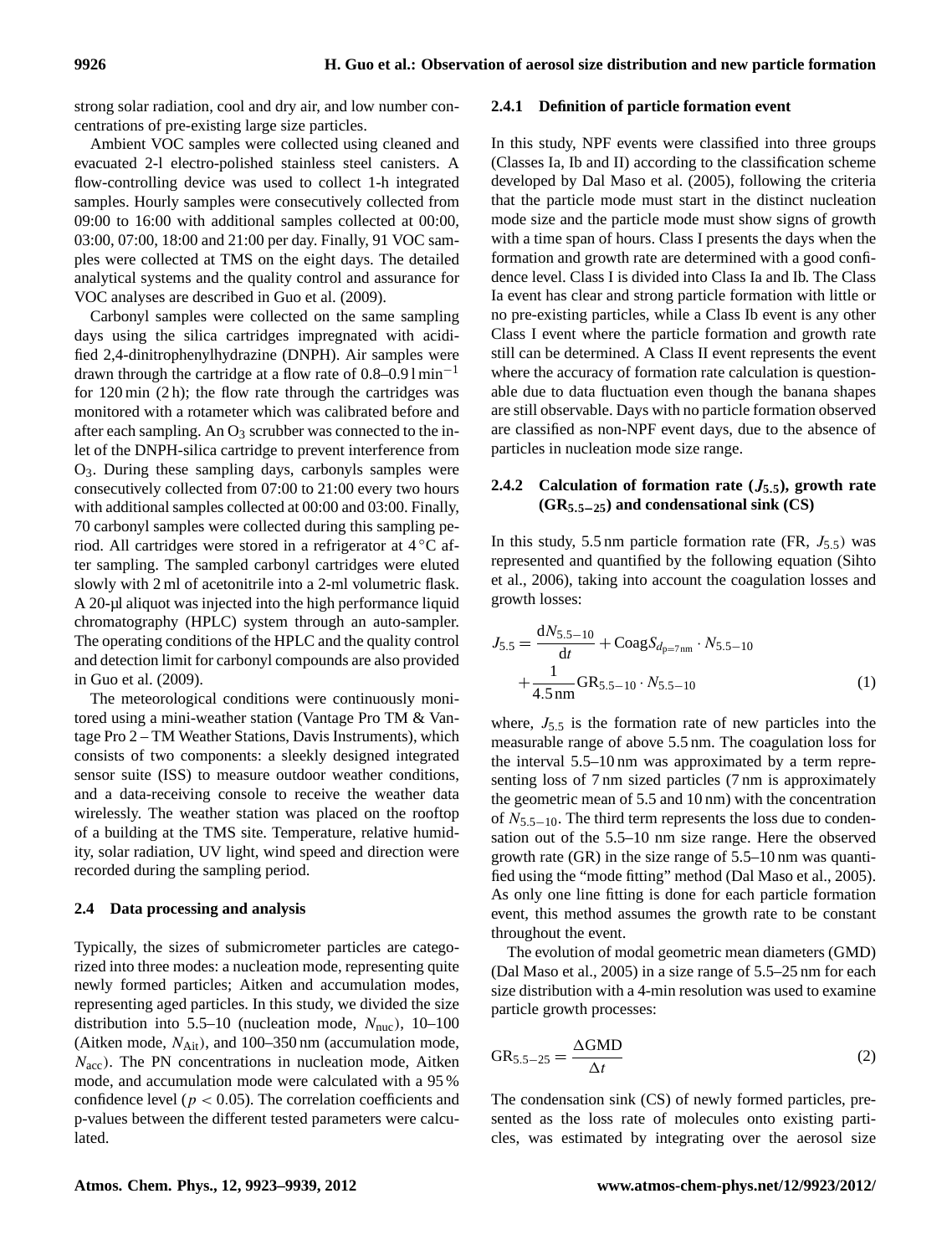strong solar radiation, cool and dry air, and low number concentrations of pre-existing large size particles.

Ambient VOC samples were collected using cleaned and evacuated 2-l electro-polished stainless steel canisters. A flow-controlling device was used to collect 1-h integrated samples. Hourly samples were consecutively collected from 09:00 to 16:00 with additional samples collected at 00:00, 03:00, 07:00, 18:00 and 21:00 per day. Finally, 91 VOC samples were collected at TMS on the eight days. The detailed analytical systems and the quality control and assurance for VOC analyses are described in Guo et al. (2009).

Carbonyl samples were collected on the same sampling days using the silica cartridges impregnated with acidified 2,4-dinitrophenylhydrazine (DNPH). Air samples were drawn through the cartridge at a flow rate of  $0.8-0.91$  min<sup>-1</sup> for  $120 \text{ min } (2 \text{ h})$ ; the flow rate through the cartridges was monitored with a rotameter which was calibrated before and after each sampling. An  $O_3$  scrubber was connected to the inlet of the DNPH-silica cartridge to prevent interference from O3. During these sampling days, carbonyls samples were consecutively collected from 07:00 to 21:00 every two hours with additional samples collected at 00:00 and 03:00. Finally, 70 carbonyl samples were collected during this sampling period. All cartridges were stored in a refrigerator at 4 ◦C after sampling. The sampled carbonyl cartridges were eluted slowly with 2 ml of acetonitrile into a 2-ml volumetric flask. A 20-µl aliquot was injected into the high performance liquid chromatography (HPLC) system through an auto-sampler. The operating conditions of the HPLC and the quality control and detection limit for carbonyl compounds are also provided in Guo et al. (2009).

The meteorological conditions were continuously monitored using a mini-weather station (Vantage Pro TM & Vantage Pro 2 – TM Weather Stations, Davis Instruments), which consists of two components: a sleekly designed integrated sensor suite (ISS) to measure outdoor weather conditions, and a data-receiving console to receive the weather data wirelessly. The weather station was placed on the rooftop of a building at the TMS site. Temperature, relative humidity, solar radiation, UV light, wind speed and direction were recorded during the sampling period.

#### **2.4 Data processing and analysis**

Typically, the sizes of submicrometer particles are categorized into three modes: a nucleation mode, representing quite newly formed particles; Aitken and accumulation modes, representing aged particles. In this study, we divided the size distribution into 5.5–10 (nucleation mode,  $N_{\text{nuc}}$ ), 10–100 (Aitken mode,  $N_{\text{Ait}}$ ), and 100–350 nm (accumulation mode,  $N<sub>acc</sub>$ ). The PN concentrations in nucleation mode, Aitken mode, and accumulation mode were calculated with a 95 % confidence level ( $p < 0.05$ ). The correlation coefficients and p-values between the different tested parameters were calculated.

#### **2.4.1 Definition of particle formation event**

In this study, NPF events were classified into three groups (Classes Ia, Ib and II) according to the classification scheme developed by Dal Maso et al. (2005), following the criteria that the particle mode must start in the distinct nucleation mode size and the particle mode must show signs of growth with a time span of hours. Class I presents the days when the formation and growth rate are determined with a good confidence level. Class I is divided into Class Ia and Ib. The Class Ia event has clear and strong particle formation with little or no pre-existing particles, while a Class Ib event is any other Class I event where the particle formation and growth rate still can be determined. A Class II event represents the event where the accuracy of formation rate calculation is questionable due to data fluctuation even though the banana shapes are still observable. Days with no particle formation observed are classified as non-NPF event days, due to the absence of particles in nucleation mode size range.

# **2.4.2 Calculation of formation rate (**J**5**.**5), growth rate (GR5**.**5**−**25) and condensational sink (CS)**

In this study, 5.5 nm particle formation rate (FR,  $J_{5.5}$ ) was represented and quantified by the following equation (Sihto et al., 2006), taking into account the coagulation losses and growth losses:

$$
J_{5.5} = \frac{dN_{5.5-10}}{dt} + C_{0} \alpha g S_{d_{p=7nm}} \cdot N_{5.5-10}
$$

$$
+ \frac{1}{4.5 \text{ nm}} GR_{5.5-10} \cdot N_{5.5-10}
$$
(1)

where,  $J_{5.5}$  is the formation rate of new particles into the measurable range of above 5.5 nm. The coagulation loss for the interval 5.5–10 nm was approximated by a term representing loss of 7 nm sized particles (7 nm is approximately the geometric mean of 5.5 and 10 nm) with the concentration of  $N_{5.5-10}$ . The third term represents the loss due to condensation out of the 5.5–10 nm size range. Here the observed growth rate (GR) in the size range of 5.5–10 nm was quantified using the "mode fitting" method (Dal Maso et al., 2005). As only one line fitting is done for each particle formation event, this method assumes the growth rate to be constant throughout the event.

The evolution of modal geometric mean diameters (GMD) (Dal Maso et al., 2005) in a size range of 5.5–25 nm for each size distribution with a 4-min resolution was used to examine particle growth processes:

$$
GR_{5.5-25} = \frac{\Delta GMD}{\Delta t}
$$
 (2)

The condensation sink (CS) of newly formed particles, presented as the loss rate of molecules onto existing particles, was estimated by integrating over the aerosol size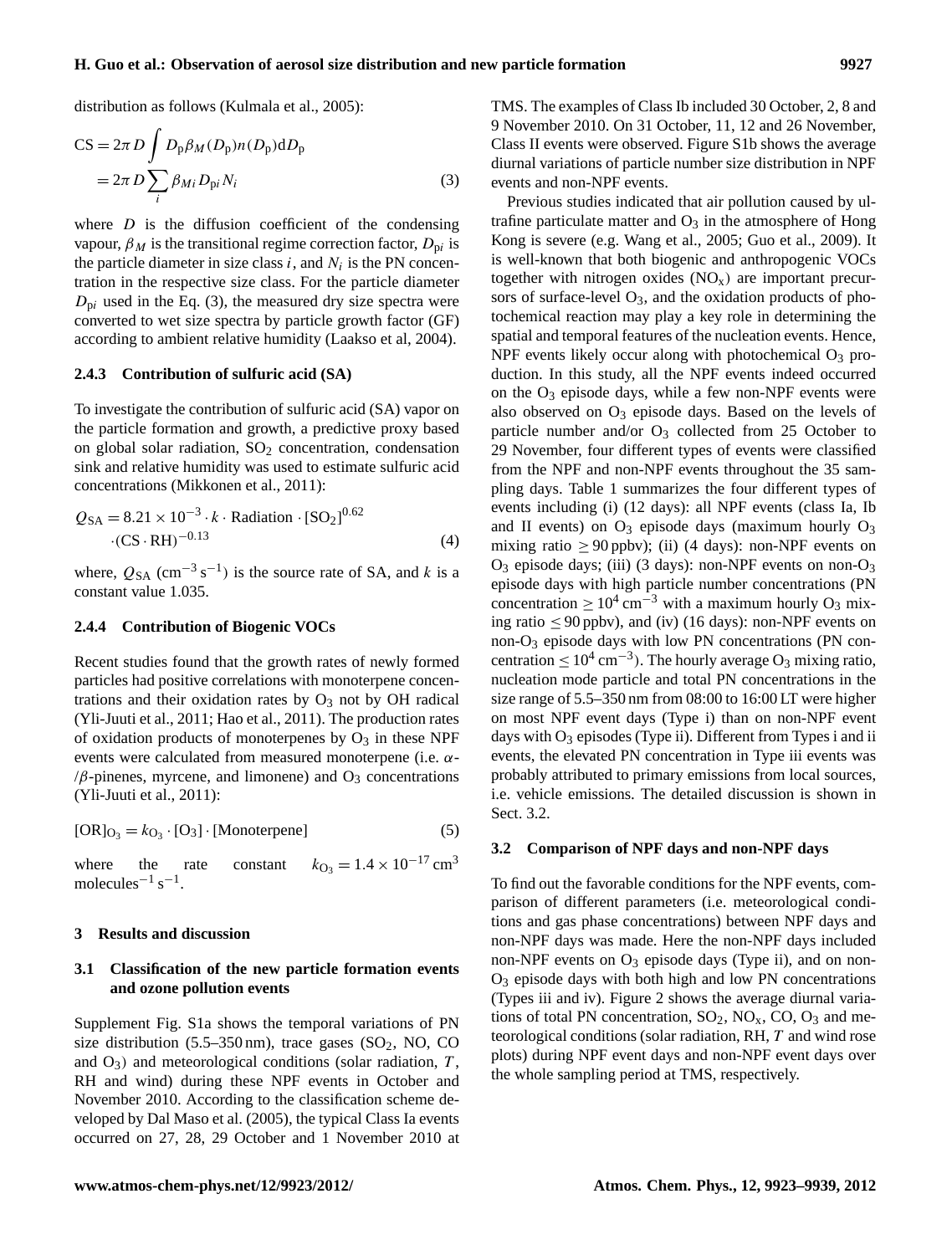## **H. Guo et al.: Observation of aerosol size distribution and new particle formation 9927**

distribution as follows (Kulmala et al., 2005):

$$
CS = 2\pi D \int D_{p}\beta_{M}(D_{p})n(D_{p})dD_{p}
$$
  
= 2\pi D \sum\_{i} \beta\_{Mi} D\_{pi}N\_{i} \t\t(3)

where  $D$  is the diffusion coefficient of the condensing vapour,  $\beta_M$  is the transitional regime correction factor,  $D_{\rm pi}$  is the particle diameter in size class  $i$ , and  $N_i$  is the PN concentration in the respective size class. For the particle diameter  $D_{\rm pi}$  used in the Eq. (3), the measured dry size spectra were converted to wet size spectra by particle growth factor (GF) according to ambient relative humidity (Laakso et al, 2004).

## **2.4.3 Contribution of sulfuric acid (SA)**

To investigate the contribution of sulfuric acid (SA) vapor on the particle formation and growth, a predictive proxy based on global solar radiation,  $SO<sub>2</sub>$  concentration, condensation sink and relative humidity was used to estimate sulfuric acid concentrations (Mikkonen et al., 2011):

$$
Q_{SA} = 8.21 \times 10^{-3} \cdot k \cdot \text{Radiation} \cdot [\text{SO}_2]^{0.62}
$$
  
·(CS·RH)<sup>-0.13</sup> (4)

where,  $Q_{SA}$  (cm<sup>-3</sup> s<sup>-1</sup>) is the source rate of SA, and k is a constant value 1.035.

#### **2.4.4 Contribution of Biogenic VOCs**

Recent studies found that the growth rates of newly formed particles had positive correlations with monoterpene concentrations and their oxidation rates by  $O_3$  not by OH radical (Yli-Juuti et al., 2011; Hao et al., 2011). The production rates of oxidation products of monoterpenes by  $O_3$  in these NPF events were calculated from measured monoterpene (i.e.  $\alpha$ - $/\beta$ -pinenes, myrcene, and limonene) and  $O_3$  concentrations (Yli-Juuti et al., 2011):

$$
[OR]_{O_3} = k_{O_3} \cdot [O_3] \cdot [Monoterpene]
$$
 (5)

where the rate constant  $k_{\text{O}_3} = 1.4 \times 10^{-17} \text{ cm}^3$ molecules<sup> $-1$ </sup> s<sup> $-1$ </sup>.

#### **3 Results and discussion**

## **3.1 Classification of the new particle formation events and ozone pollution events**

Supplement Fig. S1a shows the temporal variations of PN size distribution  $(5.5-350 \text{ nm})$ , trace gases  $(SO<sub>2</sub>, NO, CO)$ and  $O_3$ ) and meteorological conditions (solar radiation, T, RH and wind) during these NPF events in October and November 2010. According to the classification scheme developed by Dal Maso et al. (2005), the typical Class Ia events occurred on 27, 28, 29 October and 1 November 2010 at TMS. The examples of Class Ib included 30 October, 2, 8 and 9 November 2010. On 31 October, 11, 12 and 26 November, Class II events were observed. Figure S1b shows the average diurnal variations of particle number size distribution in NPF events and non-NPF events.

Previous studies indicated that air pollution caused by ultrafine particulate matter and  $O_3$  in the atmosphere of Hong Kong is severe (e.g. Wang et al., 2005; Guo et al., 2009). It is well-known that both biogenic and anthropogenic VOCs together with nitrogen oxides  $(NO<sub>x</sub>)$  are important precursors of surface-level  $O_3$ , and the oxidation products of photochemical reaction may play a key role in determining the spatial and temporal features of the nucleation events. Hence, NPF events likely occur along with photochemical  $O_3$  production. In this study, all the NPF events indeed occurred on the  $O_3$  episode days, while a few non-NPF events were also observed on  $O_3$  episode days. Based on the levels of particle number and/or  $O_3$  collected from 25 October to 29 November, four different types of events were classified from the NPF and non-NPF events throughout the 35 sampling days. Table 1 summarizes the four different types of events including (i) (12 days): all NPF events (class Ia, Ib and II events) on  $O_3$  episode days (maximum hourly  $O_3$ mixing ratio  $\geq 90$  ppbv); (ii) (4 days): non-NPF events on  $O_3$  episode days; (iii) (3 days): non-NPF events on non- $O_3$ episode days with high particle number concentrations (PN concentration  $\geq 10^4$  cm<sup>-3</sup> with a maximum hourly O<sub>3</sub> mixing ratio  $\leq 90$  ppbv), and (iv) (16 days): non-NPF events on non-O<sup>3</sup> episode days with low PN concentrations (PN concentration  $\leq 10^4 \text{ cm}^{-3}$ ). The hourly average O<sub>3</sub> mixing ratio, nucleation mode particle and total PN concentrations in the size range of 5.5–350 nm from 08:00 to 16:00 LT were higher on most NPF event days (Type i) than on non-NPF event days with  $O_3$  episodes (Type ii). Different from Types i and ii events, the elevated PN concentration in Type iii events was probably attributed to primary emissions from local sources, i.e. vehicle emissions. The detailed discussion is shown in Sect. 3.2.

#### **3.2 Comparison of NPF days and non-NPF days**

To find out the favorable conditions for the NPF events, comparison of different parameters (i.e. meteorological conditions and gas phase concentrations) between NPF days and non-NPF days was made. Here the non-NPF days included non-NPF events on  $O_3$  episode days (Type ii), and on non-O<sup>3</sup> episode days with both high and low PN concentrations (Types iii and iv). Figure 2 shows the average diurnal variations of total PN concentration,  $SO_2$ ,  $NO_x$ ,  $CO$ ,  $O_3$  and meteorological conditions (solar radiation, RH, T and wind rose plots) during NPF event days and non-NPF event days over the whole sampling period at TMS, respectively.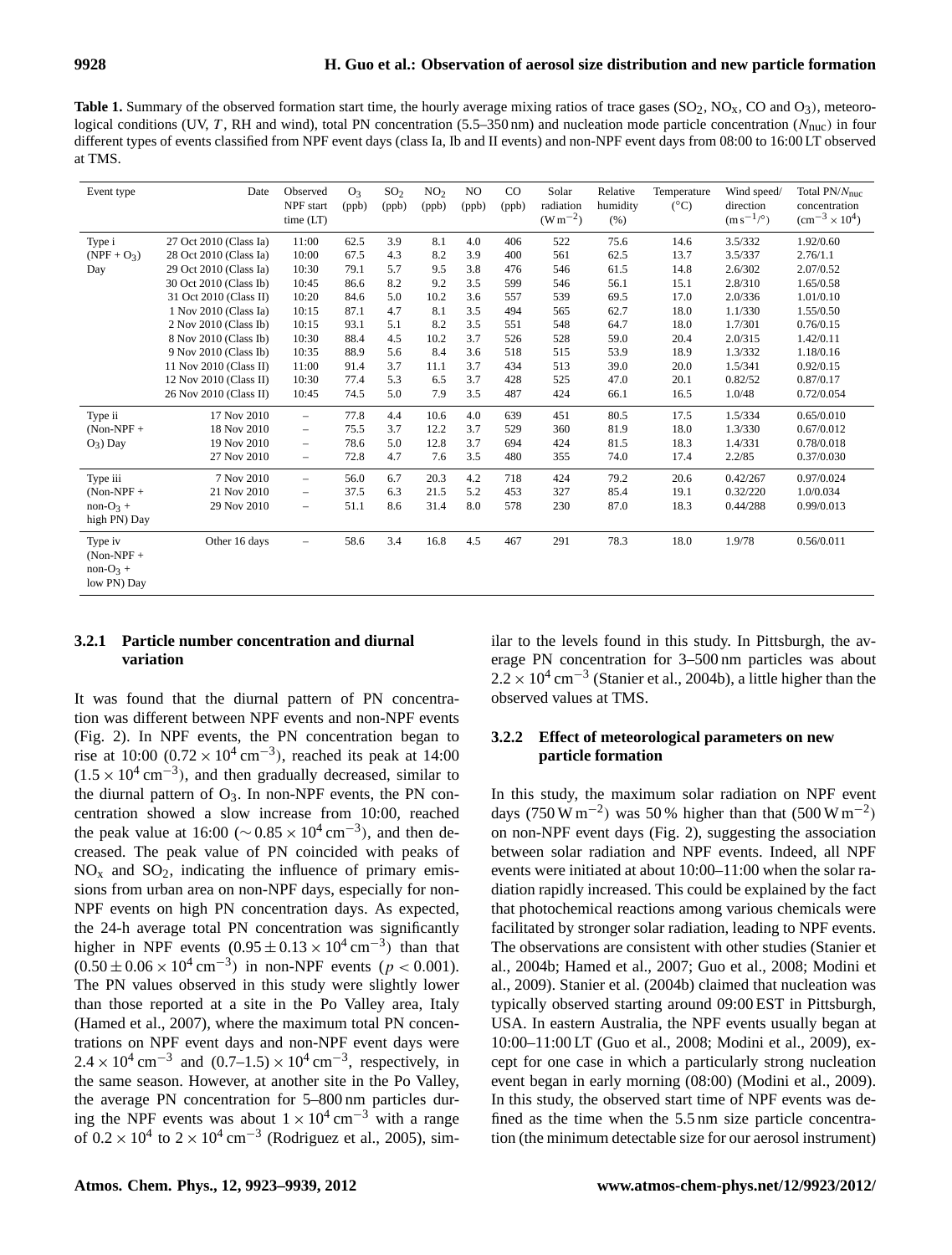**Table 1.** Summary of the observed formation start time, the hourly average mixing ratios of trace gases ( $SO_2$ ,  $NO<sub>x</sub>$ ,  $CO$  and  $O<sub>3</sub>$ ), meteorological conditions (UV, T, RH and wind), total PN concentration (5.5–350 nm) and nucleation mode particle concentration ( $N_{\text{nuc}}$ ) in four different types of events classified from NPF event days (class Ia, Ib and II events) and non-NPF event days from 08:00 to 16:00 LT observed at TMS.

| Event type                                           | Date                   | Observed<br>NPF start<br>time (LT) | O <sub>3</sub><br>(ppb) | SO <sub>2</sub><br>(ppb) | NO <sub>2</sub><br>(ppb) | NO.<br>(ppb) | $_{\rm CO}$<br>(ppb) | Solar<br>radiation<br>$(W m^{-2})$ | Relative<br>humidity<br>(% ) | Temperature<br>$(^{\circ}C)$ | Wind speed/<br>direction<br>$(m s^{-1/°})$ | Total $PN/N_{\text{nuc}}$<br>concentration<br>$\rm (cm^{-3} \times 10^{4})$ |
|------------------------------------------------------|------------------------|------------------------------------|-------------------------|--------------------------|--------------------------|--------------|----------------------|------------------------------------|------------------------------|------------------------------|--------------------------------------------|-----------------------------------------------------------------------------|
| Type i                                               | 27 Oct 2010 (Class Ia) | 11:00                              | 62.5                    | 3.9                      | 8.1                      | 4.0          | 406                  | 522                                | 75.6                         | 14.6                         | 3.5/332                                    | 1.92/0.60                                                                   |
| $(NPF + O3)$                                         | 28 Oct 2010 (Class Ia) | 10:00                              | 67.5                    | 4.3                      | 8.2                      | 3.9          | 400                  | 561                                | 62.5                         | 13.7                         | 3.5/337                                    | 2.76/1.1                                                                    |
| Day                                                  | 29 Oct 2010 (Class Ia) | 10:30                              | 79.1                    | 5.7                      | 9.5                      | 3.8          | 476                  | 546                                | 61.5                         | 14.8                         | 2.6/302                                    | 2.07/0.52                                                                   |
|                                                      | 30 Oct 2010 (Class Ib) | 10:45                              | 86.6                    | 8.2                      | 9.2                      | 3.5          | 599                  | 546                                | 56.1                         | 15.1                         | 2.8/310                                    | 1.65/0.58                                                                   |
|                                                      | 31 Oct 2010 (Class II) | 10:20                              | 84.6                    | 5.0                      | 10.2                     | 3.6          | 557                  | 539                                | 69.5                         | 17.0                         | 2.0/336                                    | 1.01/0.10                                                                   |
|                                                      | 1 Nov 2010 (Class Ia)  | 10:15                              | 87.1                    | 4.7                      | 8.1                      | 3.5          | 494                  | 565                                | 62.7                         | 18.0                         | 1.1/330                                    | 1.55/0.50                                                                   |
|                                                      | 2 Nov 2010 (Class Ib)  | 10:15                              | 93.1                    | 5.1                      | 8.2                      | 3.5          | 551                  | 548                                | 64.7                         | 18.0                         | 1.7/301                                    | 0.76/0.15                                                                   |
|                                                      | 8 Nov 2010 (Class Ib)  | 10:30                              | 88.4                    | 4.5                      | 10.2                     | 3.7          | 526                  | 528                                | 59.0                         | 20.4                         | 2.0/315                                    | 1.42/0.11                                                                   |
|                                                      | 9 Nov 2010 (Class Ib)  | 10:35                              | 88.9                    | 5.6                      | 8.4                      | 3.6          | 518                  | 515                                | 53.9                         | 18.9                         | 1.3/332                                    | 1.18/0.16                                                                   |
|                                                      | 11 Nov 2010 (Class II) | 11:00                              | 91.4                    | 3.7                      | 11.1                     | 3.7          | 434                  | 513                                | 39.0                         | 20.0                         | 1.5/341                                    | 0.92/0.15                                                                   |
|                                                      | 12 Nov 2010 (Class II) | 10:30                              | 77.4                    | 5.3                      | 6.5                      | 3.7          | 428                  | 525                                | 47.0                         | 20.1                         | 0.82/52                                    | 0.87/0.17                                                                   |
|                                                      | 26 Nov 2010 (Class II) | 10:45                              | 74.5                    | 5.0                      | 7.9                      | 3.5          | 487                  | 424                                | 66.1                         | 16.5                         | 1.0/48                                     | 0.72/0.054                                                                  |
| Type ii                                              | 17 Nov 2010            | $\overline{\phantom{a}}$           | 77.8                    | 4.4                      | 10.6                     | 4.0          | 639                  | 451                                | 80.5                         | 17.5                         | 1.5/334                                    | 0.65/0.010                                                                  |
| $(Non-NPF +$                                         | 18 Nov 2010            | $\overline{\phantom{0}}$           | 75.5                    | 3.7                      | 12.2                     | 3.7          | 529                  | 360                                | 81.9                         | 18.0                         | 1.3/330                                    | 0.67/0.012                                                                  |
| $O_3$ ) Day                                          | 19 Nov 2010            | $\overline{\phantom{a}}$           | 78.6                    | 5.0                      | 12.8                     | 3.7          | 694                  | 424                                | 81.5                         | 18.3                         | 1.4/331                                    | 0.78/0.018                                                                  |
|                                                      | 27 Nov 2010            | $\overline{\phantom{0}}$           | 72.8                    | 4.7                      | 7.6                      | 3.5          | 480                  | 355                                | 74.0                         | 17.4                         | 2.2/85                                     | 0.37/0.030                                                                  |
| Type iii                                             | 7 Nov 2010             | $\equiv$                           | 56.0                    | 6.7                      | 20.3                     | 4.2          | 718                  | 424                                | 79.2                         | 20.6                         | 0.42/267                                   | 0.97/0.024                                                                  |
| $(Non-NPF +$                                         | 21 Nov 2010            | $\overline{\phantom{0}}$           | 37.5                    | 6.3                      | 21.5                     | 5.2          | 453                  | 327                                | 85.4                         | 19.1                         | 0.32/220                                   | 1.0/0.034                                                                   |
| $non-O3 +$                                           | 29 Nov 2010            | $\overline{\phantom{0}}$           | 51.1                    | 8.6                      | 31.4                     | 8.0          | 578                  | 230                                | 87.0                         | 18.3                         | 0.44/288                                   | 0.99/0.013                                                                  |
| high PN) Day                                         |                        |                                    |                         |                          |                          |              |                      |                                    |                              |                              |                                            |                                                                             |
| Type iv<br>$(Non-NPF +$<br>$non-O3 +$<br>low PN) Day | Other 16 days          | $\overline{\phantom{0}}$           | 58.6                    | 3.4                      | 16.8                     | 4.5          | 467                  | 291                                | 78.3                         | 18.0                         | 1.9/78                                     | 0.56/0.011                                                                  |

# **3.2.1 Particle number concentration and diurnal variation**

It was found that the diurnal pattern of PN concentration was different between NPF events and non-NPF events (Fig. 2). In NPF events, the PN concentration began to rise at 10:00 (0.72 ×  $10^4 \text{ cm}^{-3}$ ), reached its peak at 14:00  $(1.5 \times 10^{4} \text{ cm}^{-3})$ , and then gradually decreased, similar to the diurnal pattern of  $O_3$ . In non-NPF events, the PN concentration showed a slow increase from 10:00, reached the peak value at  $16:00 \, (\sim 0.85 \times 10^4 \, \text{cm}^{-3})$ , and then decreased. The peak value of PN coincided with peaks of  $NO<sub>x</sub>$  and  $SO<sub>2</sub>$ , indicating the influence of primary emissions from urban area on non-NPF days, especially for non-NPF events on high PN concentration days. As expected, the 24-h average total PN concentration was significantly higher in NPF events  $(0.95 \pm 0.13 \times 10^4 \text{ cm}^{-3})$  than that  $(0.50 \pm 0.06 \times 10^4 \text{ cm}^{-3})$  in non-NPF events ( $p < 0.001$ ). The PN values observed in this study were slightly lower than those reported at a site in the Po Valley area, Italy (Hamed et al., 2007), where the maximum total PN concentrations on NPF event days and non-NPF event days were  $2.4 \times 10^4$  cm<sup>-3</sup> and  $(0.7-1.5) \times 10^4$  cm<sup>-3</sup>, respectively, in the same season. However, at another site in the Po Valley, the average PN concentration for 5–800 nm particles during the NPF events was about  $1 \times 10^4 \text{ cm}^{-3}$  with a range of  $0.2 \times 10^4$  to  $2 \times 10^4$  cm<sup>-3</sup> (Rodriguez et al., 2005), similar to the levels found in this study. In Pittsburgh, the average PN concentration for 3–500 nm particles was about  $2.2 \times 10^4$  cm<sup>-3</sup> (Stanier et al., 2004b), a little higher than the observed values at TMS.

# **3.2.2 Effect of meteorological parameters on new particle formation**

In this study, the maximum solar radiation on NPF event days (750 W m<sup>-2</sup>) was 50% higher than that (500 W m<sup>-2</sup>) on non-NPF event days (Fig. 2), suggesting the association between solar radiation and NPF events. Indeed, all NPF events were initiated at about 10:00–11:00 when the solar radiation rapidly increased. This could be explained by the fact that photochemical reactions among various chemicals were facilitated by stronger solar radiation, leading to NPF events. The observations are consistent with other studies (Stanier et al., 2004b; Hamed et al., 2007; Guo et al., 2008; Modini et al., 2009). Stanier et al. (2004b) claimed that nucleation was typically observed starting around 09:00 EST in Pittsburgh, USA. In eastern Australia, the NPF events usually began at 10:00–11:00 LT (Guo et al., 2008; Modini et al., 2009), except for one case in which a particularly strong nucleation event began in early morning (08:00) (Modini et al., 2009). In this study, the observed start time of NPF events was defined as the time when the 5.5 nm size particle concentration (the minimum detectable size for our aerosol instrument)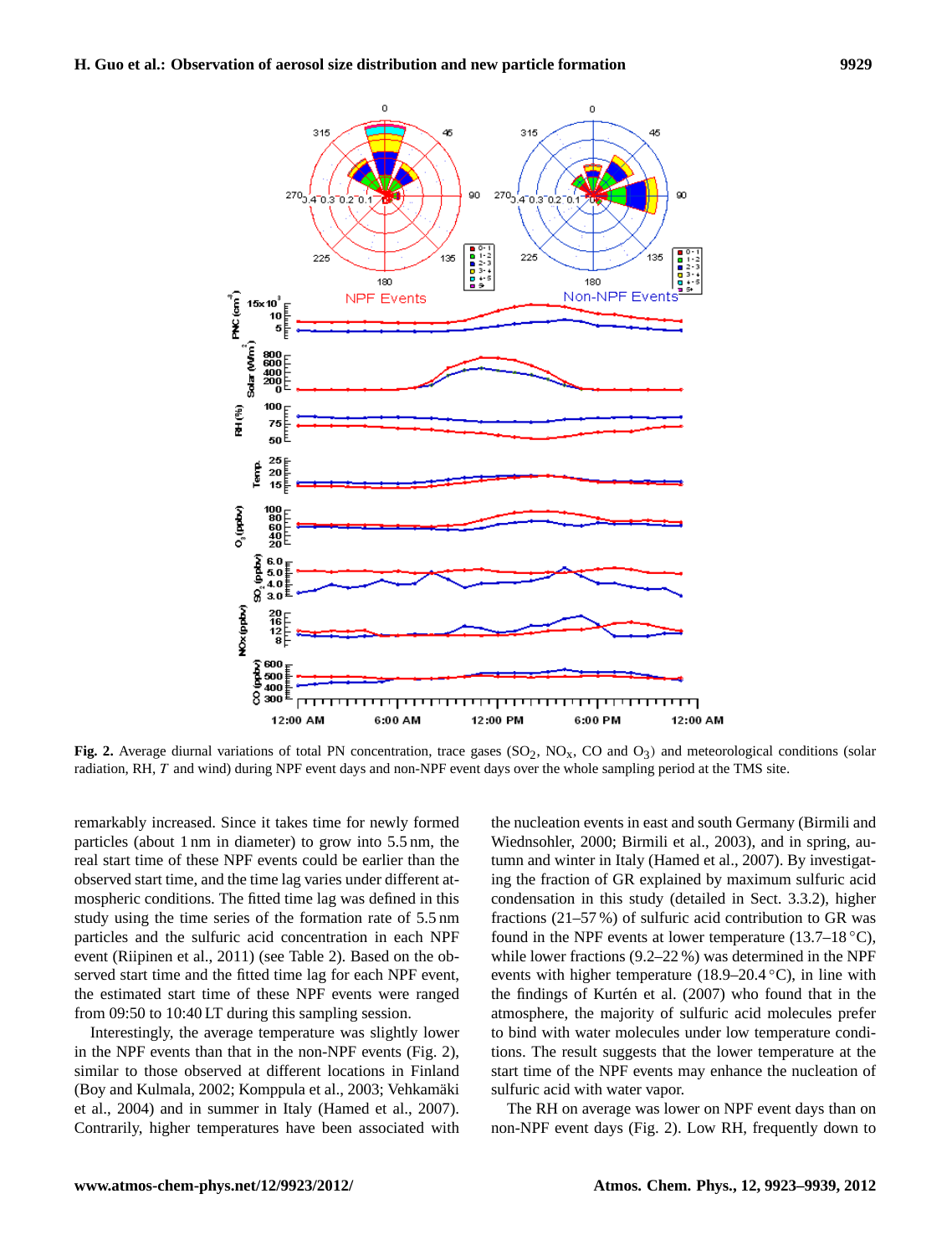

Fig. 2. Average diurnal variations of total PN concentration, trace gases  $(SO_2, NO_x, CO \text{ and } O_3)$  and meteorological conditions (solar radiation, RH, T and wind) during NPF event days and non-NPF event days over the whole sampling period at the TMS site.

remarkably increased. Since it takes time for newly formed particles (about 1 nm in diameter) to grow into 5.5 nm, the real start time of these NPF events could be earlier than the observed start time, and the time lag varies under different atmospheric conditions. The fitted time lag was defined in this study using the time series of the formation rate of 5.5 nm particles and the sulfuric acid concentration in each NPF event (Riipinen et al., 2011) (see Table 2). Based on the observed start time and the fitted time lag for each NPF event, the estimated start time of these NPF events were ranged from 09:50 to 10:40 LT during this sampling session.

Interestingly, the average temperature was slightly lower in the NPF events than that in the non-NPF events (Fig. 2), similar to those observed at different locations in Finland (Boy and Kulmala, 2002; Komppula et al., 2003; Vehkamaki ¨ et al., 2004) and in summer in Italy (Hamed et al., 2007). Contrarily, higher temperatures have been associated with the nucleation events in east and south Germany (Birmili and Wiednsohler, 2000; Birmili et al., 2003), and in spring, autumn and winter in Italy (Hamed et al., 2007). By investigating the fraction of GR explained by maximum sulfuric acid condensation in this study (detailed in Sect. 3.3.2), higher fractions (21–57 %) of sulfuric acid contribution to GR was found in the NPF events at lower temperature (13.7–18  $\degree$ C), while lower fractions (9.2–22 %) was determined in the NPF events with higher temperature (18.9–20.4  $\textdegree$ C), in line with the findings of Kurtén et al.  $(2007)$  who found that in the atmosphere, the majority of sulfuric acid molecules prefer to bind with water molecules under low temperature conditions. The result suggests that the lower temperature at the start time of the NPF events may enhance the nucleation of sulfuric acid with water vapor.

The RH on average was lower on NPF event days than on non-NPF event days (Fig. 2). Low RH, frequently down to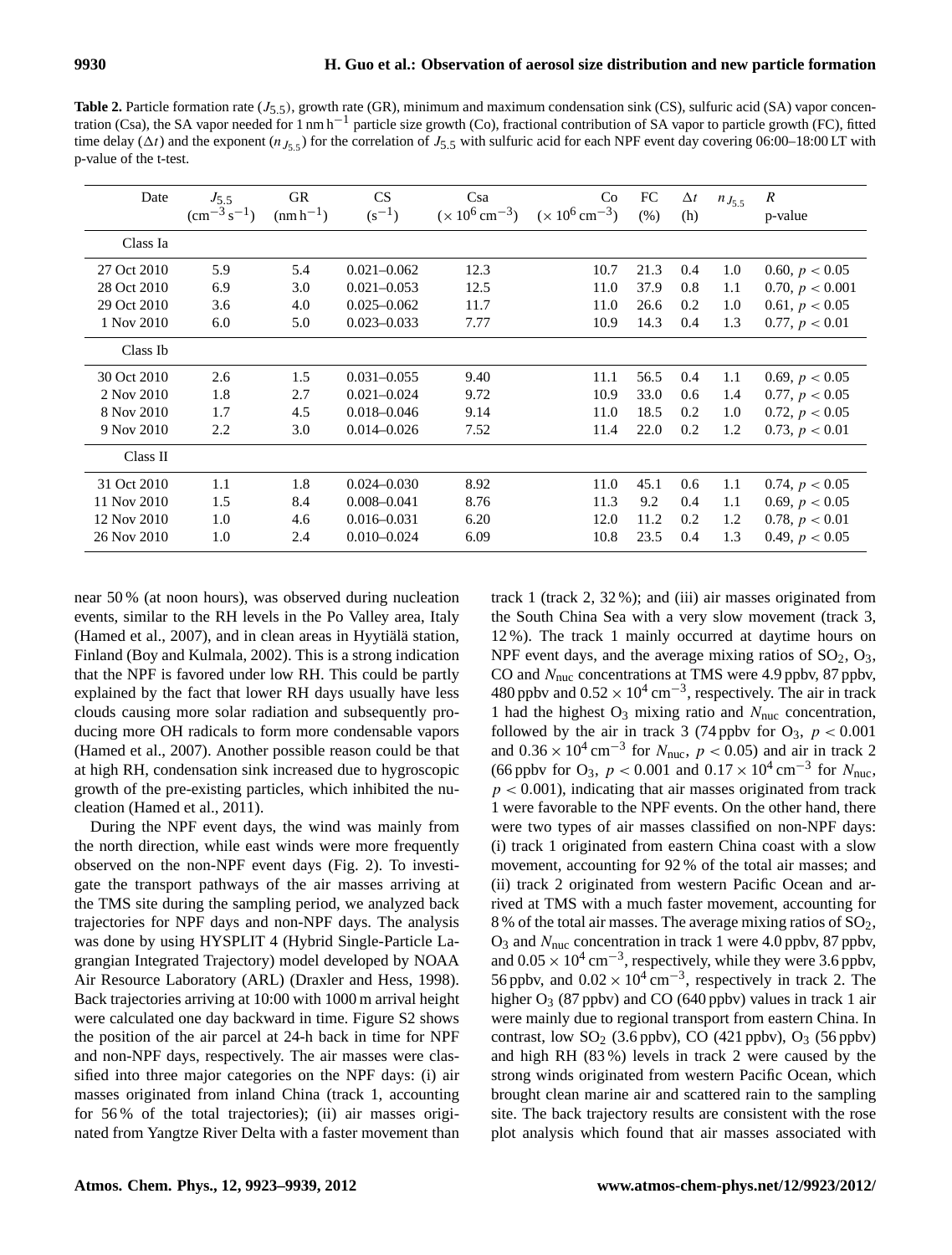**Table 2.** Particle formation rate  $(J_{5.5})$ , growth rate (GR), minimum and maximum condensation sink (CS), sulfuric acid (SA) vapor concentration (Csa), the SA vapor needed for 1 nm h−<sup>1</sup> particle size growth (Co), fractional contribution of SA vapor to particle growth (FC), fitted time delay ( $\Delta t$ ) and the exponent ( $n_{J_5,5}$ ) for the correlation of  $J_{5,5}$  with sulfuric acid for each NPF event day covering 06:00–18:00 LT with p-value of the t-test.

| Date        | $J_{5.5}$<br>$\rm (cm^{-3} s^{-1})$ | <b>GR</b><br>$(nm h^{-1})$ | CS<br>$(s^{-1})$ | Csa<br>$(x 10^6 \text{ cm}^{-3})$ | C <sub>o</sub><br>$(x 10^6 \text{ cm}^{-3})$ | FC<br>(% ) | $\Delta t$<br>(h) | $n_{J_{5.5}}$ | $\boldsymbol{R}$<br>p-value |
|-------------|-------------------------------------|----------------------------|------------------|-----------------------------------|----------------------------------------------|------------|-------------------|---------------|-----------------------------|
| Class Ia    |                                     |                            |                  |                                   |                                              |            |                   |               |                             |
| 27 Oct 2010 | 5.9                                 | 5.4                        | $0.021 - 0.062$  | 12.3                              | 10.7                                         | 21.3       | 0.4               | 1.0           | 0.60, $p < 0.05$            |
| 28 Oct 2010 | 6.9                                 | 3.0                        | $0.021 - 0.053$  | 12.5                              | 11.0                                         | 37.9       | 0.8               | 1.1           | 0.70, $p < 0.001$           |
| 29 Oct 2010 | 3.6                                 | 4.0                        | $0.025 - 0.062$  | 11.7                              | 11.0                                         | 26.6       | 0.2               | 1.0           | 0.61, $p < 0.05$            |
| 1 Nov 2010  | 6.0                                 | 5.0                        | $0.023 - 0.033$  | 7.77                              | 10.9                                         | 14.3       | 0.4               | 1.3           | 0.77, $p < 0.01$            |
| Class Ib    |                                     |                            |                  |                                   |                                              |            |                   |               |                             |
| 30 Oct 2010 | 2.6                                 | 1.5                        | $0.031 - 0.055$  | 9.40                              | 11.1                                         | 56.5       | 0.4               | 1.1           | 0.69, $p < 0.05$            |
| 2 Nov 2010  | 1.8                                 | 2.7                        | $0.021 - 0.024$  | 9.72                              | 10.9                                         | 33.0       | 0.6               | 1.4           | 0.77, $p < 0.05$            |
| 8 Nov 2010  | 1.7                                 | 4.5                        | $0.018 - 0.046$  | 9.14                              | 11.0                                         | 18.5       | 0.2               | 1.0           | 0.72, $p < 0.05$            |
| 9 Nov 2010  | 2.2                                 | 3.0                        | $0.014 - 0.026$  | 7.52                              | 11.4                                         | 22.0       | 0.2               | 1.2           | 0.73, $p < 0.01$            |
| Class II    |                                     |                            |                  |                                   |                                              |            |                   |               |                             |
| 31 Oct 2010 | 1.1                                 | 1.8                        | $0.024 - 0.030$  | 8.92                              | 11.0                                         | 45.1       | 0.6               | 1.1           | 0.74, $p < 0.05$            |
| 11 Nov 2010 | 1.5                                 | 8.4                        | $0.008 - 0.041$  | 8.76                              | 11.3                                         | 9.2        | 0.4               | 1.1           | 0.69, $p < 0.05$            |
| 12 Nov 2010 | 1.0                                 | 4.6                        | $0.016 - 0.031$  | 6.20                              | 12.0                                         | 11.2       | 0.2               | 1.2           | 0.78, $p < 0.01$            |
| 26 Nov 2010 | 1.0                                 | 2.4                        | $0.010 - 0.024$  | 6.09                              | 10.8                                         | 23.5       | 0.4               | 1.3           | 0.49, $p < 0.05$            |

near 50 % (at noon hours), was observed during nucleation events, similar to the RH levels in the Po Valley area, Italy (Hamed et al.,  $2007$ ), and in clean areas in Hyytialä station, Finland (Boy and Kulmala, 2002). This is a strong indication that the NPF is favored under low RH. This could be partly explained by the fact that lower RH days usually have less clouds causing more solar radiation and subsequently producing more OH radicals to form more condensable vapors (Hamed et al., 2007). Another possible reason could be that at high RH, condensation sink increased due to hygroscopic growth of the pre-existing particles, which inhibited the nucleation (Hamed et al., 2011).

During the NPF event days, the wind was mainly from the north direction, while east winds were more frequently observed on the non-NPF event days (Fig. 2). To investigate the transport pathways of the air masses arriving at the TMS site during the sampling period, we analyzed back trajectories for NPF days and non-NPF days. The analysis was done by using HYSPLIT 4 (Hybrid Single-Particle Lagrangian Integrated Trajectory) model developed by NOAA Air Resource Laboratory (ARL) (Draxler and Hess, 1998). Back trajectories arriving at 10:00 with 1000 m arrival height were calculated one day backward in time. Figure S2 shows the position of the air parcel at 24-h back in time for NPF and non-NPF days, respectively. The air masses were classified into three major categories on the NPF days: (i) air masses originated from inland China (track 1, accounting for 56 % of the total trajectories); (ii) air masses originated from Yangtze River Delta with a faster movement than

track 1 (track 2, 32 %); and (iii) air masses originated from the South China Sea with a very slow movement (track 3, 12 %). The track 1 mainly occurred at daytime hours on NPF event days, and the average mixing ratios of  $SO_2$ ,  $O_3$ , CO and  $N_{\text{nuc}}$  concentrations at TMS were 4.9 ppbv, 87 ppbv, 480 ppbv and  $0.52 \times 10^4 \text{ cm}^{-3}$ , respectively. The air in track 1 had the highest  $O_3$  mixing ratio and  $N_{\text{nuc}}$  concentration, followed by the air in track 3 (74 ppbv for  $O_3$ ,  $p < 0.001$ and  $0.36 \times 10^4$  cm<sup>-3</sup> for  $N_{\text{nuc}}$ ,  $p < 0.05$ ) and air in track 2 (66 ppbv for O<sub>3</sub>,  $p < 0.001$  and  $0.17 \times 10^4$  cm<sup>-3</sup> for  $N_{\text{nuc}}$ ,  $p < 0.001$ ), indicating that air masses originated from track 1 were favorable to the NPF events. On the other hand, there were two types of air masses classified on non-NPF days: (i) track 1 originated from eastern China coast with a slow movement, accounting for 92 % of the total air masses; and (ii) track 2 originated from western Pacific Ocean and arrived at TMS with a much faster movement, accounting for 8 % of the total air masses. The average mixing ratios of SO2,  $O_3$  and  $N_{\text{nuc}}$  concentration in track 1 were 4.0 ppbv, 87 ppbv, and  $0.05 \times 10^4$  cm<sup>-3</sup>, respectively, while they were 3.6 ppbv, 56 ppbv, and  $0.02 \times 10^4 \text{ cm}^{-3}$ , respectively in track 2. The higher  $O_3$  (87 ppbv) and CO (640 ppbv) values in track 1 air were mainly due to regional transport from eastern China. In contrast, low  $SO_2$  (3.6 ppbv),  $CO$  (421 ppbv),  $O_3$  (56 ppbv) and high RH (83 %) levels in track 2 were caused by the strong winds originated from western Pacific Ocean, which brought clean marine air and scattered rain to the sampling site. The back trajectory results are consistent with the rose plot analysis which found that air masses associated with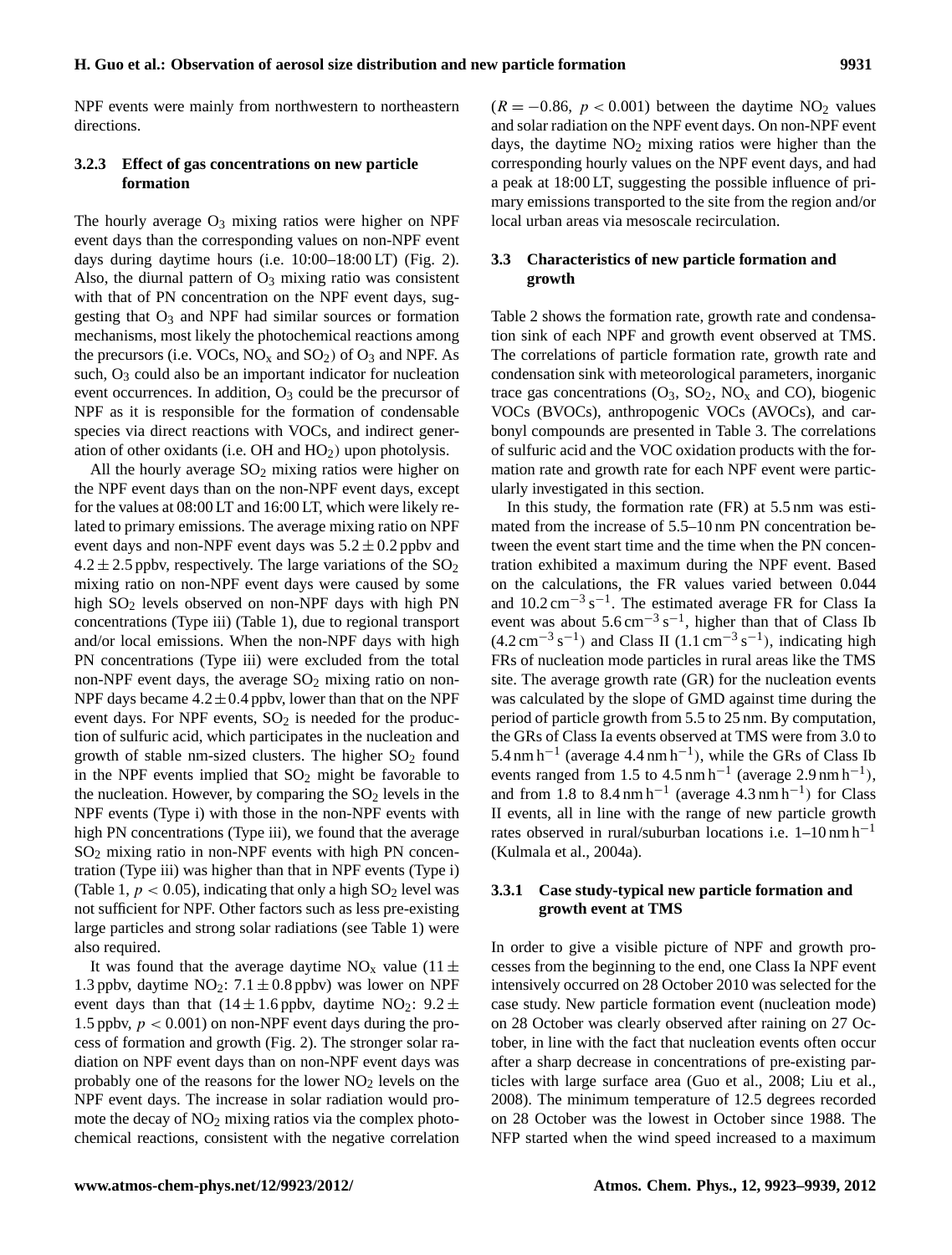NPF events were mainly from northwestern to northeastern directions.

# **3.2.3 Effect of gas concentrations on new particle formation**

The hourly average  $O_3$  mixing ratios were higher on NPF event days than the corresponding values on non-NPF event days during daytime hours (i.e. 10:00–18:00 LT) (Fig. 2). Also, the diurnal pattern of  $O_3$  mixing ratio was consistent with that of PN concentration on the NPF event days, suggesting that  $O_3$  and NPF had similar sources or formation mechanisms, most likely the photochemical reactions among the precursors (i.e. VOCs,  $NO_x$  and  $SO_2$ ) of  $O_3$  and NPF. As such,  $O_3$  could also be an important indicator for nucleation event occurrences. In addition, O<sub>3</sub> could be the precursor of NPF as it is responsible for the formation of condensable species via direct reactions with VOCs, and indirect generation of other oxidants (i.e.  $OH$  and  $HO<sub>2</sub>$ ) upon photolysis.

All the hourly average  $SO_2$  mixing ratios were higher on the NPF event days than on the non-NPF event days, except for the values at 08:00 LT and 16:00 LT, which were likely related to primary emissions. The average mixing ratio on NPF event days and non-NPF event days was  $5.2 \pm 0.2$  ppbv and  $4.2 \pm 2.5$  ppbv, respectively. The large variations of the SO<sub>2</sub> mixing ratio on non-NPF event days were caused by some high SO<sub>2</sub> levels observed on non-NPF days with high PN concentrations (Type iii) (Table 1), due to regional transport and/or local emissions. When the non-NPF days with high PN concentrations (Type iii) were excluded from the total non-NPF event days, the average  $SO_2$  mixing ratio on non-NPF days became  $4.2 \pm 0.4$  ppby, lower than that on the NPF event days. For NPF events,  $SO<sub>2</sub>$  is needed for the production of sulfuric acid, which participates in the nucleation and growth of stable nm-sized clusters. The higher  $SO<sub>2</sub>$  found in the NPF events implied that  $SO_2$  might be favorable to the nucleation. However, by comparing the  $SO<sub>2</sub>$  levels in the NPF events (Type i) with those in the non-NPF events with high PN concentrations (Type iii), we found that the average  $SO<sub>2</sub>$  mixing ratio in non-NPF events with high PN concentration (Type iii) was higher than that in NPF events (Type i) (Table 1,  $p < 0.05$ ), indicating that only a high  $SO_2$  level was not sufficient for NPF. Other factors such as less pre-existing large particles and strong solar radiations (see Table 1) were also required.

It was found that the average daytime  $NO_x$  value (11  $\pm$ 1.3 ppbv, daytime  $NO_2$ : 7.1  $\pm$  0.8 ppbv) was lower on NPF event days than that  $(14 \pm 1.6 \text{ pb})$ , daytime NO<sub>2</sub>:  $9.2 \pm$ 1.5 ppbv,  $p < 0.001$ ) on non-NPF event days during the process of formation and growth (Fig. 2). The stronger solar radiation on NPF event days than on non-NPF event days was probably one of the reasons for the lower  $NO<sub>2</sub>$  levels on the NPF event days. The increase in solar radiation would promote the decay of  $NO<sub>2</sub>$  mixing ratios via the complex photochemical reactions, consistent with the negative correlation  $(R = -0.86, p < 0.001)$  between the daytime NO<sub>2</sub> values and solar radiation on the NPF event days. On non-NPF event days, the daytime  $NO<sub>2</sub>$  mixing ratios were higher than the corresponding hourly values on the NPF event days, and had a peak at 18:00 LT, suggesting the possible influence of primary emissions transported to the site from the region and/or local urban areas via mesoscale recirculation.

# **3.3 Characteristics of new particle formation and growth**

Table 2 shows the formation rate, growth rate and condensation sink of each NPF and growth event observed at TMS. The correlations of particle formation rate, growth rate and condensation sink with meteorological parameters, inorganic trace gas concentrations  $(O_3, SO_2, NO_x \text{ and } CO)$ , biogenic VOCs (BVOCs), anthropogenic VOCs (AVOCs), and carbonyl compounds are presented in Table 3. The correlations of sulfuric acid and the VOC oxidation products with the formation rate and growth rate for each NPF event were particularly investigated in this section.

In this study, the formation rate (FR) at 5.5 nm was estimated from the increase of 5.5–10 nm PN concentration between the event start time and the time when the PN concentration exhibited a maximum during the NPF event. Based on the calculations, the FR values varied between 0.044 and  $10.2 \text{ cm}^{-3} \text{ s}^{-1}$ . The estimated average FR for Class Ia event was about  $5.6 \text{ cm}^{-3} \text{ s}^{-1}$ , higher than that of Class Ib  $(4.2 \text{ cm}^{-3} \text{ s}^{-1})$  and Class II  $(1.1 \text{ cm}^{-3} \text{ s}^{-1})$ , indicating high FRs of nucleation mode particles in rural areas like the TMS site. The average growth rate (GR) for the nucleation events was calculated by the slope of GMD against time during the period of particle growth from 5.5 to 25 nm. By computation, the GRs of Class Ia events observed at TMS were from 3.0 to 5.4 nm h<sup>-1</sup> (average 4.4 nm h<sup>-1</sup>), while the GRs of Class Ib events ranged from 1.5 to 4.5 nm h<sup>-1</sup> (average 2.9 nm h<sup>-1</sup>), and from 1.8 to  $8.4 \text{ nm h}^{-1}$  (average  $4.3 \text{ nm h}^{-1}$ ) for Class II events, all in line with the range of new particle growth rates observed in rural/suburban locations i.e.  $1-10 \text{ nm h}^{-1}$ (Kulmala et al., 2004a).

# **3.3.1 Case study-typical new particle formation and growth event at TMS**

In order to give a visible picture of NPF and growth processes from the beginning to the end, one Class Ia NPF event intensively occurred on 28 October 2010 was selected for the case study. New particle formation event (nucleation mode) on 28 October was clearly observed after raining on 27 October, in line with the fact that nucleation events often occur after a sharp decrease in concentrations of pre-existing particles with large surface area (Guo et al., 2008; Liu et al., 2008). The minimum temperature of 12.5 degrees recorded on 28 October was the lowest in October since 1988. The NFP started when the wind speed increased to a maximum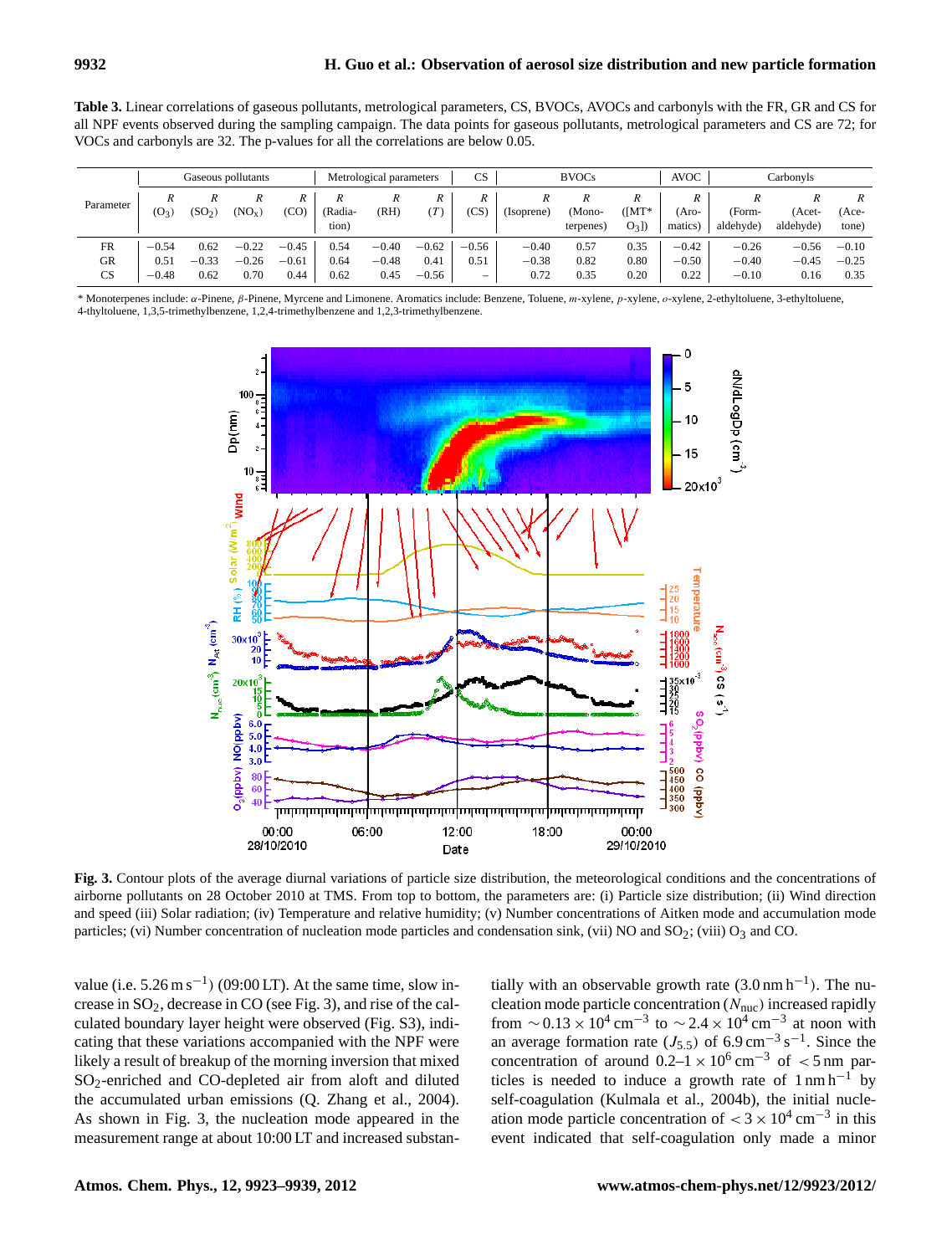**Table 3.** Linear correlations of gaseous pollutants, metrological parameters, CS, BVOCs, AVOCs and carbonyls with the FR, GR and CS for all NPF events observed during the sampling campaign. The data points for gaseous pollutants, metrological parameters and CS are 72; for VOCs and carbonyls are 32. The p-values for all the correlations are below 0.05.

|           | Gaseous pollutants |                    |                    |         | Metrological parameters |         |         | CS                       | <b>BVOCs</b> |           |                | <b>AVOC</b> | Carbonyls |           |         |
|-----------|--------------------|--------------------|--------------------|---------|-------------------------|---------|---------|--------------------------|--------------|-----------|----------------|-------------|-----------|-----------|---------|
| Parameter | R                  |                    | R                  | R       |                         | R       | R       | R                        | R            |           |                |             | R         |           | R       |
|           | $(O_3)$            | (SO <sub>2</sub> ) | (NO <sub>x</sub> ) | (CO)    | (Radia-                 | (RH)    | T       | 'CS                      | (Isoprene)   | 'Mono-    | $(\lceil MT^*$ | Aro-        | (Form-    | (Acet-    | (Ace-   |
|           |                    |                    |                    |         | tion)                   |         |         |                          |              | terpenes) | $O_3$ ]        | matics)     | aldehyde) | aldehyde) | tone)   |
| <b>FR</b> | $-0.54$            | 0.62               | $-0.22$            | $-0.45$ | 0.54                    | $-0.40$ | $-0.62$ | $-0.56$                  | $-0.40$      | 0.57      | 0.35           | $-0.42$     | $-0.26$   | $-0.56$   | $-0.10$ |
| GR        | 0.51               | $-0.33$            | $-0.26$            | $-0.61$ | 0.64                    | $-0.48$ | 0.41    | 0.51                     | $-0.38$      | 0.82      | 0.80           | $-0.50$     | $-0.40$   | $-0.45$   | $-0.25$ |
| CS        | $-0.48$            | 0.62               | 0.70               | 0.44    | 0.62                    | 0.45    | $-0.56$ | $\overline{\phantom{a}}$ | 0.72         | 0.35      | 0.20           | 0.22        | $-0.10$   | 0.16      | 0.35    |

\* Monoterpenes include: α-Pinene, β-Pinene, Myrcene and Limonene. Aromatics include: Benzene, Toluene, m-xylene, p-xylene, o-xylene, 2-ethyltoluene, 3-ethyltoluene, 4-thyltoluene, 1,3,5-trimethylbenzene, 1,2,4-trimethylbenzene and 1,2,3-trimethylbenzene.



airborne pollutants on 28 October 2010 at TMS. From top to bottom, the parameters are: (i) Particle size distribution; (ii) Wind direction and speed (iii) Solar radiation; (iv) Temperature and relative humidity; (v) Number concentrations of Aitken mode and accumulation mode particles; (vi) Number concentration of nucleation mode particles and condensation sink, (vii) NO and  $SO_2$ ; (viii)  $O_3$  and CO. **Fig. 3.** Contour plots of the average diurnal variations of particle size distribution, the meteorological conditions and the concentrations of

23 375 (viii) O<sup>3</sup> and CO. value (i.e.  $5.26 \text{ m s}^{-1}$ ) (09:00 LT). At the same time, slow increase in SO2, decrease in CO (see Fig. 3), and rise of the calculated boundary layer height were observed (Fig. S3), indicating that these variations accompanied with the NPF were likely a result of breakup of the morning inversion that mixed SO2-enriched and CO-depleted air from aloft and diluted the accumulated urban emissions (Q. Zhang et al., 2004). As shown in Fig. 3, the nucleation mode appeared in the measurement range at about 10:00 LT and increased substan-

tially with an observable growth rate  $(3.0 \text{ nm h}^{-1})$ . The nucleation mode particle concentration  $(N_{\text{nuc}})$  increased rapidly from  $\sim$  0.13 × 10<sup>4</sup> cm<sup>-3</sup> to  $\sim$  2.4 × 10<sup>4</sup> cm<sup>-3</sup> at noon with an average formation rate ( $J_{5.5}$ ) of 6.9 cm<sup>-3</sup> s<sup>-1</sup>. Since the concentration of around  $0.2-1 \times 10^6$  cm<sup>-3</sup> of <5 nm particles is needed to induce a growth rate of  $1 \text{ nm h}^{-1}$  by self-coagulation (Kulmala et al., 2004b), the initial nucleation mode particle concentration of  $<$  3  $\times$  10<sup>4</sup> cm<sup>-3</sup> in this event indicated that self-coagulation only made a minor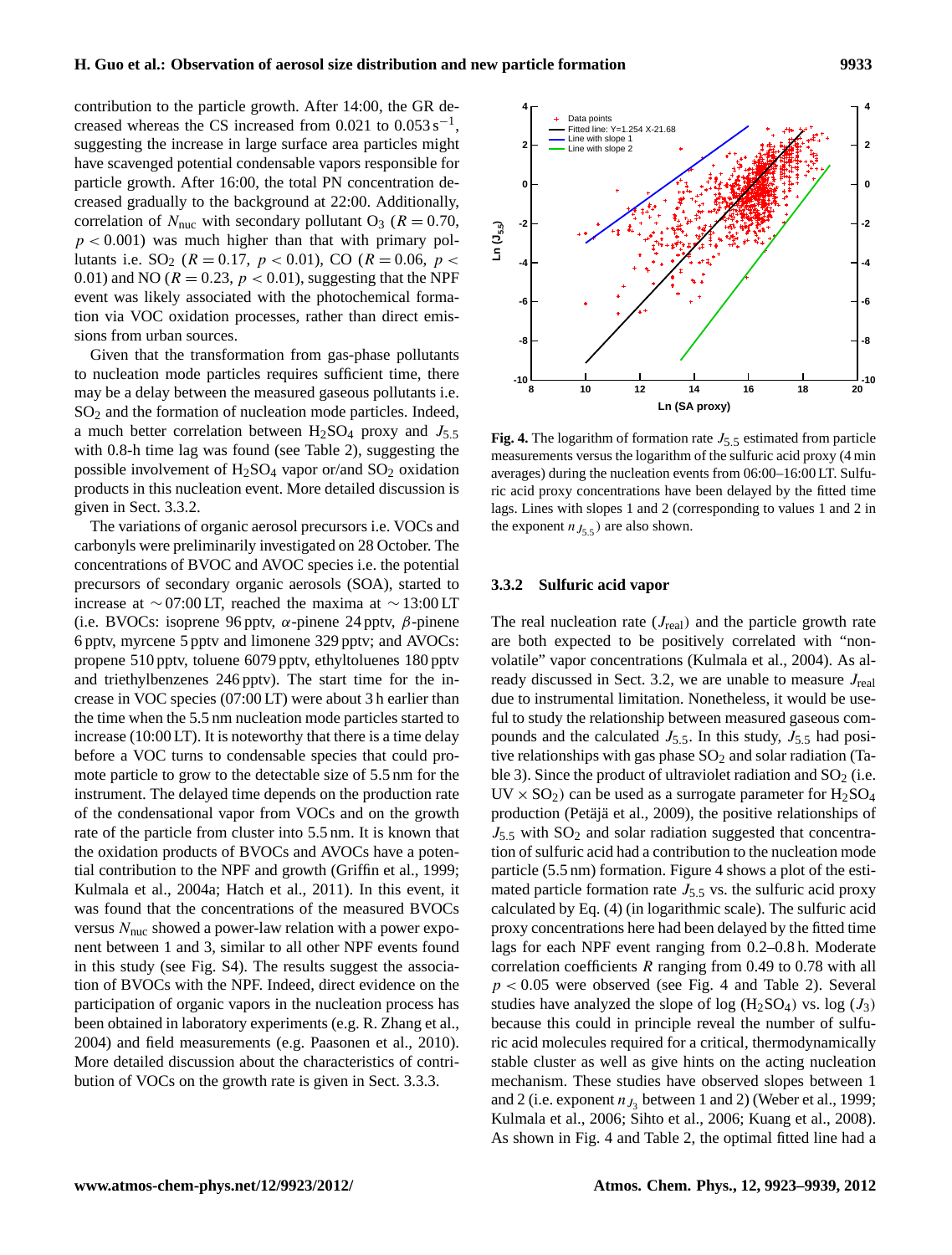contribution to the particle growth. After 14:00, the GR de-4 4 creased whereas the CS increased from  $0.021$  to  $0.053 \text{ s}^{-1}$ , suggesting the increase in large surface area particles might have scavenged potential condensable vapors responsible for particle growth. After 16:00, the total PN concentration decreased gradually to the background at 22:00. Additionally, correlation of  $N_{\text{nuc}}$  with secondary pollutant O<sub>3</sub> ( $R = 0.70$ ,  $p < 0.001$ ) was much higher than that with primary pollutants i.e.  $SO_2$  ( $R = 0.17$ ,  $p < 0.01$ ), CO ( $R = 0.06$ ,  $p <$ 0.01) and NO ( $R = 0.23$ ,  $p < 0.01$ ), suggesting that the NPF event was likely associated with the photochemical formation via VOC oxidation processes, rather than direct emissions from urban sources.

Given that the transformation from gas-phase pollutants to nucleation mode particles requires sufficient time, there may be a delay between the measured gaseous pollutants i.e. SO<sub>2</sub> and the formation of nucleation mode particles. Indeed, a much better correlation between  $H_2SO_4$  proxy and  $J_{5.5}$ with 0.8-h time lag was found (see Table 2), suggesting the possible involvement of  $H_2SO_4$  vapor or/and  $SO_2$  oxidation products in this nucleation event. More detailed discussion is given in Sect. 3.3.2.

The variations of organic aerosol precursors i.e. VOCs and carbonyls were preliminarily investigated on 28 October. The concentrations of BVOC and AVOC species i.e. the potential precursors of secondary organic aerosols (SOA), started to increase at ∼ 07:00 LT, reached the maxima at ∼ 13:00 LT (i.e. BVOCs: isoprene 96 pptv,  $\alpha$ -pinene 24 pptv,  $\beta$ -pinene 6 pptv, myrcene 5 pptv and limonene 329 pptv; and AVOCs: propene 510 pptv, toluene 6079 pptv, ethyltoluenes 180 pptv and triethylbenzenes 246 pptv). The start time for the increase in VOC species (07:00 LT) were about 3 h earlier than the time when the 5.5 nm nucleation mode particles started to increase (10:00 LT). It is noteworthy that there is a time delay before a VOC turns to condensable species that could promote particle to grow to the detectable size of 5.5 nm for the instrument. The delayed time depends on the production rate of the condensational vapor from VOCs and on the growth rate of the particle from cluster into 5.5 nm. It is known that the oxidation products of BVOCs and AVOCs have a potential contribution to the NPF and growth (Griffin et al., 1999; Kulmala et al., 2004a; Hatch et al., 2011). In this event, it was found that the concentrations of the measured BVOCs versus  $N<sub>nuc</sub>$  showed a power-law relation with a power exponent between 1 and 3, similar to all other NPF events found in this study (see Fig. S4). The results suggest the association of BVOCs with the NPF. Indeed, direct evidence on the participation of organic vapors in the nucleation process has been obtained in laboratory experiments (e.g. R. Zhang et al., 2004) and field measurements (e.g. Paasonen et al., 2010). More detailed discussion about the characteristics of contribution of VOCs on the growth rate is given in Sect. 3.3.3.



 $\text{Fig. 4.}$  The logarithm of formation rate  $J_{5.5}$  estimated from particle able 2), suggesting the measurements versus the logarithm of the sulfuric acid proxy  $(4 \text{ min})$  $\frac{30}{100}$  fitted time lags. Lines with slopes 1 and 2 in the exponent of the exponent nucleation events from 06:00–16:00 LT. Sulfulags. Lines with slopes 1 and 2 (corresponding to values 1 and 2 in recursors i.e. VOCs and the exponent  $n_{J_{5,5}}$  are also shown. ric acid proxy concentrations have been delayed by the fitted time

#### **3.3.2 Sulfuric acid vapor**

The real nucleation rate  $(J_{\text{real}})$  and the particle growth rate are both expected to be positively correlated with "nonvolatile" vapor concentrations (Kulmala et al., 2004). As already discussed in Sect. 3.2, we are unable to measure  $J_{\text{real}}$ due to instrumental limitation. Nonetheless, it would be useful to study the relationship between measured gaseous compounds and the calculated  $J_{5.5}$ . In this study,  $J_{5.5}$  had positive relationships with gas phase  $SO<sub>2</sub>$  and solar radiation (Table 3). Since the product of ultraviolet radiation and  $SO<sub>2</sub>$  (i.e.  $UV \times SO_2$ ) can be used as a surrogate parameter for  $H_2SO_4$ production (Petäjä et al., 2009), the positive relationships of  $J_{5.5}$  with  $SO_2$  and solar radiation suggested that concentration of sulfuric acid had a contribution to the nucleation mode particle (5.5 nm) formation. Figure 4 shows a plot of the estimated particle formation rate  $J_{5.5}$  vs. the sulfuric acid proxy calculated by Eq. (4) (in logarithmic scale). The sulfuric acid proxy concentrations here had been delayed by the fitted time lags for each NPF event ranging from 0.2–0.8 h. Moderate correlation coefficients  $R$  ranging from 0.49 to 0.78 with all  $p < 0.05$  were observed (see Fig. 4 and Table 2). Several studies have analyzed the slope of log  $(H_2SO_4)$  vs. log  $(J_3)$ because this could in principle reveal the number of sulfuric acid molecules required for a critical, thermodynamically stable cluster as well as give hints on the acting nucleation mechanism. These studies have observed slopes between 1 and 2 (i.e. exponent  $n_{J_3}$  between 1 and 2) (Weber et al., 1999; Kulmala et al., 2006; Sihto et al., 2006; Kuang et al., 2008). As shown in Fig. 4 and Table 2, the optimal fitted line had a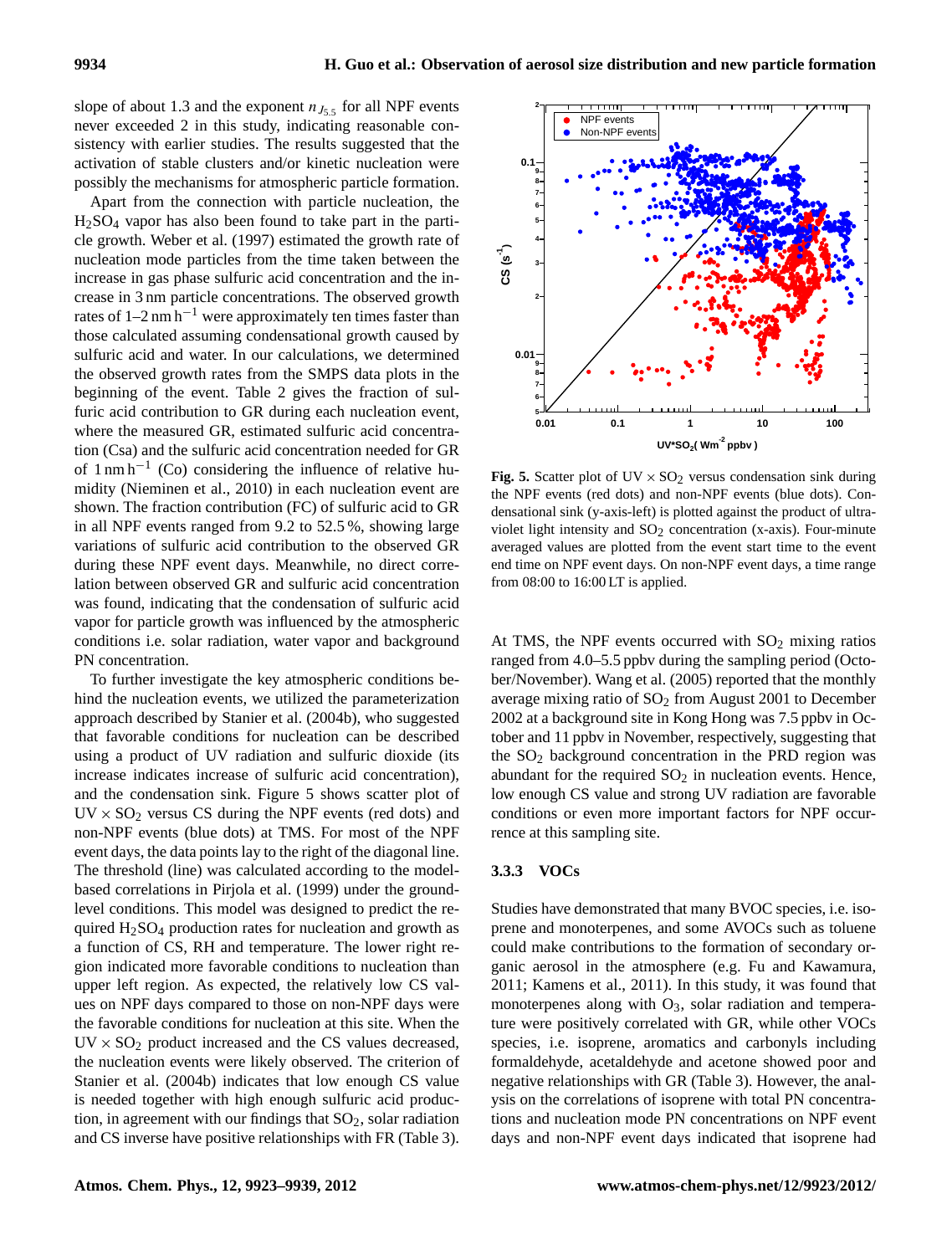slope of about 1.3 and the exponent  $n_{J_{5.5}}$  for all NPF events never exceeded 2 in this study, indicating reasonable consistency with earlier studies. The results suggested that the activation of stable clusters and/or kinetic nucleation were possibly the mechanisms for atmospheric particle formation. 6 7

Apart from the connection with particle nucleation, the 5  $H_2SO_4$  vapor has also been found to take part in the particle growth. Weber et al. (1997) estimated the growth rate of nucleation mode particles from the time taken between the 2 increase in gas phase sulfuric acid concentration and the increase in 3 nm particle concentrations. The observed growth rates of  $1-2$  nm h<sup>-1</sup> were approximately ten times faster than those calculated assuming condensational growth caused by sulfuric acid and water. In our calculations, we determined the observed growth rates from the SMPS data plots in the beginning of the event. Table 2 gives the fraction of sulfuric acid contribution to GR during each nucleation event, where the measured GR, estimated sulfuric acid concentration (Csa) and the sulfuric acid concentration needed for GR of  $1 \text{ nm/h}^{-1}$  (Co) considering the influence of relative humidity (Nieminen et al., 2010) in each nucleation event are shown. The fraction contribution (FC) of sulfuric acid to GR in all NPF events ranged from  $9.2$  to  $52.5$ %, showing large violet light variations of sulfuric acid contribution to the observed GR during these NPF event days. Meanwhile, no direct correlation between observed GR and sulfuric acid concentration was found, indicating that the condensation of sulfuric acid vapor for particle growth was influenced by the atmospheric conditions i.e. solar radiation, water vapor and background PN concentration.

To further investigate the key atmospheric conditions behind the nucleation events, we utilized the parameterization approach described by Stanier et al. (2004b), who suggested that favorable conditions for nucleation can be described using a product of UV radiation and sulfuric dioxide (its increase indicates increase of sulfuric acid concentration), and the condensation sink. Figure 5 shows scatter plot of  $UV \times SO_2$  versus CS during the NPF events (red dots) and non-NPF events (blue dots) at TMS. For most of the NPF event days, the data points lay to the right of the diagonal line. The threshold (line) was calculated according to the modelbased correlations in Pirjola et al. (1999) under the groundlevel conditions. This model was designed to predict the required  $H<sub>2</sub>SO<sub>4</sub>$  production rates for nucleation and growth as a function of CS, RH and temperature. The lower right region indicated more favorable conditions to nucleation than upper left region. As expected, the relatively low CS values on NPF days compared to those on non-NPF days were the favorable conditions for nucleation at this site. When the  $UV \times SO_2$  product increased and the CS values decreased, the nucleation events were likely observed. The criterion of Stanier et al. (2004b) indicates that low enough CS value is needed together with high enough sulfuric acid production, in agreement with our findings that  $SO_2$ , solar radiation and CS inverse have positive relationships with FR (Table 3).



**Fig. 5.** Scatter plot of UV  $\times$  SO<sub>2</sub> versus condensation sink during events (blue dots). each nucleation event are the NPF events (red dots) and non-NPF events (blue dots). Con-FC) of sulfuric acid to GR densational sink (y-axis-left) is plotted against the product of ultraviolet light intensity and  $SO_2$  concentration (x-axis). Four-minute averaged values are plotted from the event start time to the event end time on NPF event days. On non-NPF event days, a time range from 08:00 to 16:00 LT is applied.

At TMS, the NPF events occurred with  $SO<sub>2</sub>$  mixing ratios ranged from 4.0–5.5 ppbv during the sampling period (October/November). Wang et al. (2005) reported that the monthly average mixing ratio of  $SO<sub>2</sub>$  from August 2001 to December 2002 at a background site in Kong Hong was 7.5 ppbv in October and 11 ppbv in November, respectively, suggesting that the  $SO<sub>2</sub>$  background concentration in the PRD region was abundant for the required  $SO<sub>2</sub>$  in nucleation events. Hence, low enough CS value and strong UV radiation are favorable conditions or even more important factors for NPF occurrence at this sampling site.

### **3.3.3 VOCs**

Studies have demonstrated that many BVOC species, i.e. isoprene and monoterpenes, and some AVOCs such as toluene could make contributions to the formation of secondary organic aerosol in the atmosphere (e.g. Fu and Kawamura, 2011; Kamens et al., 2011). In this study, it was found that monoterpenes along with  $O_3$ , solar radiation and temperature were positively correlated with GR, while other VOCs species, i.e. isoprene, aromatics and carbonyls including formaldehyde, acetaldehyde and acetone showed poor and negative relationships with GR (Table 3). However, the analysis on the correlations of isoprene with total PN concentrations and nucleation mode PN concentrations on NPF event days and non-NPF event days indicated that isoprene had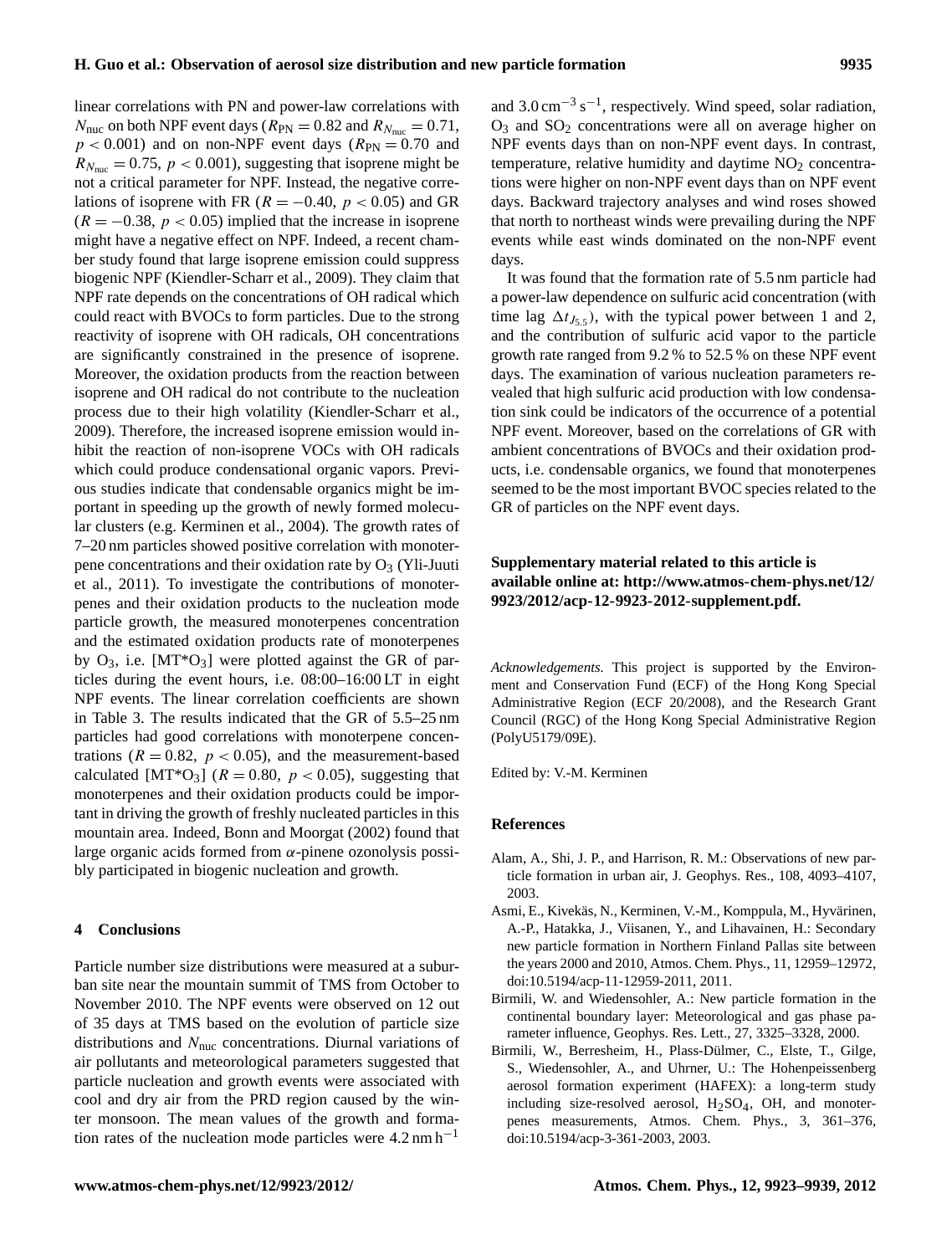linear correlations with PN and power-law correlations with  $N_{\text{nuc}}$  on both NPF event days ( $R_{\text{PN}} = 0.82$  and  $R_{N_{\text{nuc}}} = 0.71$ ,  $p < 0.001$ ) and on non-NPF event days ( $R_{PN} = 0.70$  and  $R_{N_{\text{nuc}}} = 0.75$ ,  $p < 0.001$ ), suggesting that isoprene might be not a critical parameter for NPF. Instead, the negative correlations of isoprene with FR ( $R = -0.40$ ,  $p < 0.05$ ) and GR  $(R = -0.38, p < 0.05)$  implied that the increase in isoprene might have a negative effect on NPF. Indeed, a recent chamber study found that large isoprene emission could suppress biogenic NPF (Kiendler-Scharr et al., 2009). They claim that NPF rate depends on the concentrations of OH radical which could react with BVOCs to form particles. Due to the strong reactivity of isoprene with OH radicals, OH concentrations are significantly constrained in the presence of isoprene. Moreover, the oxidation products from the reaction between isoprene and OH radical do not contribute to the nucleation process due to their high volatility (Kiendler-Scharr et al., 2009). Therefore, the increased isoprene emission would inhibit the reaction of non-isoprene VOCs with OH radicals which could produce condensational organic vapors. Previous studies indicate that condensable organics might be important in speeding up the growth of newly formed molecular clusters (e.g. Kerminen et al., 2004). The growth rates of 7–20 nm particles showed positive correlation with monoterpene concentrations and their oxidation rate by  $O<sub>3</sub>$  (Yli-Juuti et al., 2011). To investigate the contributions of monoterpenes and their oxidation products to the nucleation mode particle growth, the measured monoterpenes concentration and the estimated oxidation products rate of monoterpenes by  $O_3$ , i.e. [MT\* $O_3$ ] were plotted against the GR of particles during the event hours, i.e. 08:00–16:00 LT in eight NPF events. The linear correlation coefficients are shown in Table 3. The results indicated that the GR of 5.5–25 nm particles had good correlations with monoterpene concentrations ( $R = 0.82$ ,  $p < 0.05$ ), and the measurement-based calculated [MT\*O<sub>3</sub>] ( $R = 0.80$ ,  $p < 0.05$ ), suggesting that monoterpenes and their oxidation products could be important in driving the growth of freshly nucleated particles in this mountain area. Indeed, Bonn and Moorgat (2002) found that large organic acids formed from  $\alpha$ -pinene ozonolysis possibly participated in biogenic nucleation and growth.

## **4 Conclusions**

Particle number size distributions were measured at a suburban site near the mountain summit of TMS from October to November 2010. The NPF events were observed on 12 out of 35 days at TMS based on the evolution of particle size distributions and  $N_{\text{nuc}}$  concentrations. Diurnal variations of air pollutants and meteorological parameters suggested that particle nucleation and growth events were associated with cool and dry air from the PRD region caused by the winter monsoon. The mean values of the growth and formation rates of the nucleation mode particles were  $4.2 \text{ nm h}^{-1}$ 

and  $3.0 \text{ cm}^{-3} \text{ s}^{-1}$ , respectively. Wind speed, solar radiation,  $O_3$  and  $SO_2$  concentrations were all on average higher on NPF events days than on non-NPF event days. In contrast, temperature, relative humidity and daytime  $NO<sub>2</sub>$  concentrations were higher on non-NPF event days than on NPF event days. Backward trajectory analyses and wind roses showed that north to northeast winds were prevailing during the NPF events while east winds dominated on the non-NPF event days.

It was found that the formation rate of 5.5 nm particle had a power-law dependence on sulfuric acid concentration (with time lag  $\Delta t_{J_5,5}$ , with the typical power between 1 and 2, and the contribution of sulfuric acid vapor to the particle growth rate ranged from 9.2 % to 52.5 % on these NPF event days. The examination of various nucleation parameters revealed that high sulfuric acid production with low condensation sink could be indicators of the occurrence of a potential NPF event. Moreover, based on the correlations of GR with ambient concentrations of BVOCs and their oxidation products, i.e. condensable organics, we found that monoterpenes seemed to be the most important BVOC species related to the GR of particles on the NPF event days.

# **Supplementary material related to this article is available online at: [http://www.atmos-chem-phys.net/12/](http://www.atmos-chem-phys.net/12/9923/2012/acp-12-9923-2012-supplement.pdf) [9923/2012/acp-12-9923-2012-supplement.pdf.](http://www.atmos-chem-phys.net/12/9923/2012/acp-12-9923-2012-supplement.pdf)**

*Acknowledgements.* This project is supported by the Environment and Conservation Fund (ECF) of the Hong Kong Special Administrative Region (ECF 20/2008), and the Research Grant Council (RGC) of the Hong Kong Special Administrative Region (PolyU5179/09E).

Edited by: V.-M. Kerminen

#### **References**

- Alam, A., Shi, J. P., and Harrison, R. M.: Observations of new particle formation in urban air, J. Geophys. Res., 108, 4093–4107, 2003.
- Asmi, E., Kivekäs, N., Kerminen, V.-M., Komppula, M., Hyvärinen, A.-P., Hatakka, J., Viisanen, Y., and Lihavainen, H.: Secondary new particle formation in Northern Finland Pallas site between the years 2000 and 2010, Atmos. Chem. Phys., 11, 12959–12972, [doi:10.5194/acp-11-12959-2011,](http://dx.doi.org/10.5194/acp-11-12959-2011) 2011.
- Birmili, W. and Wiedensohler, A.: New particle formation in the continental boundary layer: Meteorological and gas phase parameter influence, Geophys. Res. Lett., 27, 3325–3328, 2000.
- Birmili, W., Berresheim, H., Plass-Dülmer, C., Elste, T., Gilge, S., Wiedensohler, A., and Uhrner, U.: The Hohenpeissenberg aerosol formation experiment (HAFEX): a long-term study including size-resolved aerosol,  $H_2SO_4$ , OH, and monoterpenes measurements, Atmos. Chem. Phys., 3, 361–376, [doi:10.5194/acp-3-361-2003,](http://dx.doi.org/10.5194/acp-3-361-2003) 2003.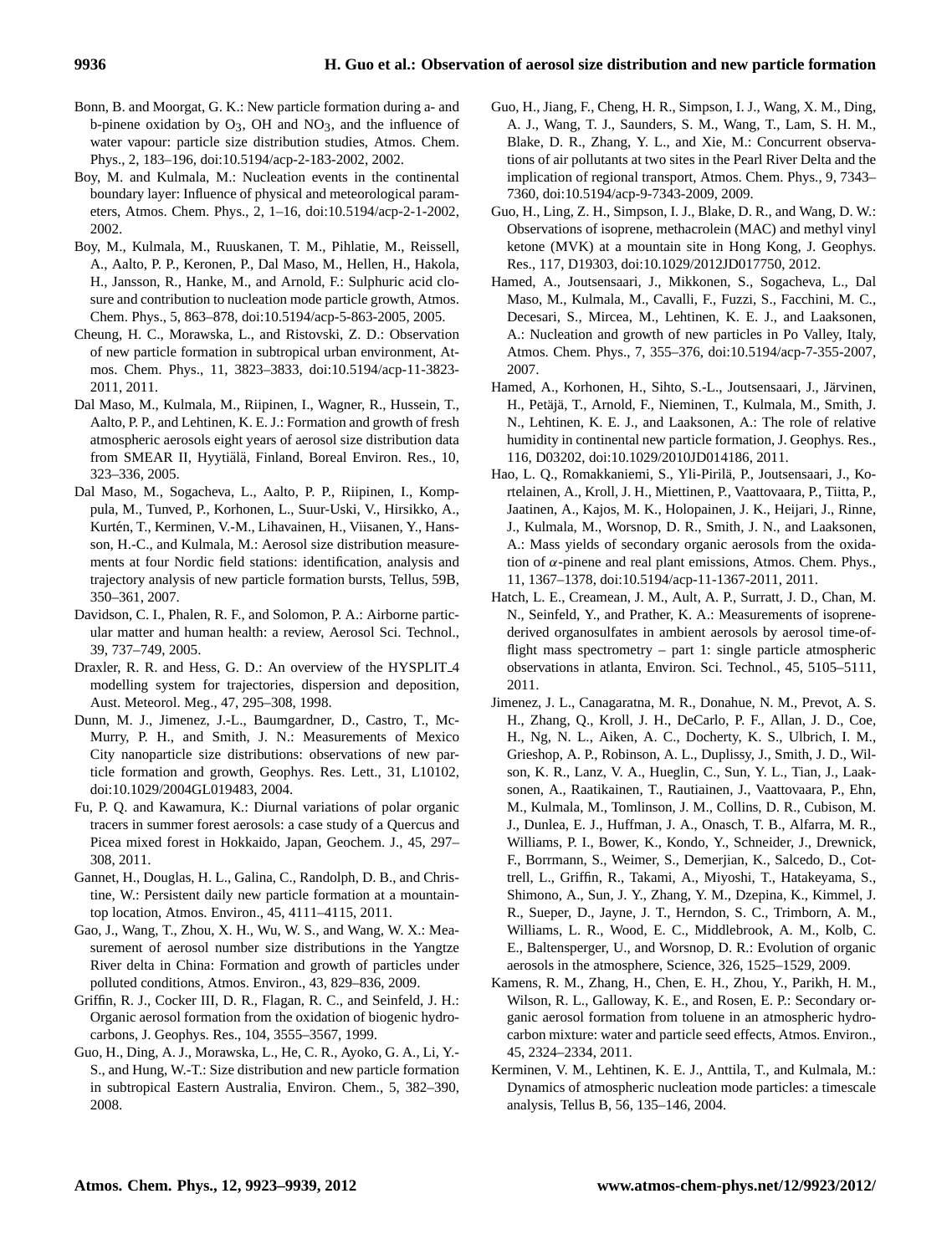- Bonn, B. and Moorgat, G. K.: New particle formation during a- and b-pinene oxidation by  $O_3$ , OH and  $NO_3$ , and the influence of water vapour: particle size distribution studies, Atmos. Chem. Phys., 2, 183–196, [doi:10.5194/acp-2-183-2002,](http://dx.doi.org/10.5194/acp-2-183-2002) 2002.
- Boy, M. and Kulmala, M.: Nucleation events in the continental boundary layer: Influence of physical and meteorological parameters, Atmos. Chem. Phys., 2, 1–16, [doi:10.5194/acp-2-1-2002,](http://dx.doi.org/10.5194/acp-2-1-2002) 2002.
- Boy, M., Kulmala, M., Ruuskanen, T. M., Pihlatie, M., Reissell, A., Aalto, P. P., Keronen, P., Dal Maso, M., Hellen, H., Hakola, H., Jansson, R., Hanke, M., and Arnold, F.: Sulphuric acid closure and contribution to nucleation mode particle growth, Atmos. Chem. Phys., 5, 863–878, [doi:10.5194/acp-5-863-2005,](http://dx.doi.org/10.5194/acp-5-863-2005) 2005.
- Cheung, H. C., Morawska, L., and Ristovski, Z. D.: Observation of new particle formation in subtropical urban environment, Atmos. Chem. Phys., 11, 3823–3833, [doi:10.5194/acp-11-3823-](http://dx.doi.org/10.5194/acp-11-3823-2011) [2011,](http://dx.doi.org/10.5194/acp-11-3823-2011) 2011.
- Dal Maso, M., Kulmala, M., Riipinen, I., Wagner, R., Hussein, T., Aalto, P. P., and Lehtinen, K. E. J.: Formation and growth of fresh atmospheric aerosols eight years of aerosol size distribution data from SMEAR II, Hyytiälä, Finland, Boreal Environ. Res., 10, 323–336, 2005.
- Dal Maso, M., Sogacheva, L., Aalto, P. P., Riipinen, I., Komppula, M., Tunved, P., Korhonen, L., Suur-Uski, V., Hirsikko, A., Kurtén, T., Kerminen, V.-M., Lihavainen, H., Viisanen, Y., Hansson, H.-C., and Kulmala, M.: Aerosol size distribution measurements at four Nordic field stations: identification, analysis and trajectory analysis of new particle formation bursts, Tellus, 59B, 350–361, 2007.
- Davidson, C. I., Phalen, R. F., and Solomon, P. A.: Airborne particular matter and human health: a review, Aerosol Sci. Technol., 39, 737–749, 2005.
- Draxler, R. R. and Hess, G. D.: An overview of the HYSPLIT<sub>-4</sub> modelling system for trajectories, dispersion and deposition, Aust. Meteorol. Meg., 47, 295–308, 1998.
- Dunn, M. J., Jimenez, J.-L., Baumgardner, D., Castro, T., Mc-Murry, P. H., and Smith, J. N.: Measurements of Mexico City nanoparticle size distributions: observations of new particle formation and growth, Geophys. Res. Lett., 31, L10102, [doi:10.1029/2004GL019483,](http://dx.doi.org/10.1029/2004GL019483) 2004.
- Fu, P. Q. and Kawamura, K.: Diurnal variations of polar organic tracers in summer forest aerosols: a case study of a Quercus and Picea mixed forest in Hokkaido, Japan, Geochem. J., 45, 297– 308, 2011.
- Gannet, H., Douglas, H. L., Galina, C., Randolph, D. B., and Christine, W.: Persistent daily new particle formation at a mountaintop location, Atmos. Environ., 45, 4111–4115, 2011.
- Gao, J., Wang, T., Zhou, X. H., Wu, W. S., and Wang, W. X.: Measurement of aerosol number size distributions in the Yangtze River delta in China: Formation and growth of particles under polluted conditions, Atmos. Environ., 43, 829–836, 2009.
- Griffin, R. J., Cocker III, D. R., Flagan, R. C., and Seinfeld, J. H.: Organic aerosol formation from the oxidation of biogenic hydrocarbons, J. Geophys. Res., 104, 3555–3567, 1999.
- Guo, H., Ding, A. J., Morawska, L., He, C. R., Ayoko, G. A., Li, Y.- S., and Hung, W.-T.: Size distribution and new particle formation in subtropical Eastern Australia, Environ. Chem., 5, 382–390, 2008.
- Guo, H., Jiang, F., Cheng, H. R., Simpson, I. J., Wang, X. M., Ding, A. J., Wang, T. J., Saunders, S. M., Wang, T., Lam, S. H. M., Blake, D. R., Zhang, Y. L., and Xie, M.: Concurrent observations of air pollutants at two sites in the Pearl River Delta and the implication of regional transport, Atmos. Chem. Phys., 9, 7343– 7360, [doi:10.5194/acp-9-7343-2009,](http://dx.doi.org/10.5194/acp-9-7343-2009) 2009.
- Guo, H., Ling, Z. H., Simpson, I. J., Blake, D. R., and Wang, D. W.: Observations of isoprene, methacrolein (MAC) and methyl vinyl ketone (MVK) at a mountain site in Hong Kong, J. Geophys. Res., 117, D19303, [doi:10.1029/2012JD017750,](http://dx.doi.org/10.1029/2012JD017750) 2012.
- Hamed, A., Joutsensaari, J., Mikkonen, S., Sogacheva, L., Dal Maso, M., Kulmala, M., Cavalli, F., Fuzzi, S., Facchini, M. C., Decesari, S., Mircea, M., Lehtinen, K. E. J., and Laaksonen, A.: Nucleation and growth of new particles in Po Valley, Italy, Atmos. Chem. Phys., 7, 355–376, [doi:10.5194/acp-7-355-2007,](http://dx.doi.org/10.5194/acp-7-355-2007) 2007.
- Hamed, A., Korhonen, H., Sihto, S.-L., Joutsensaari, J., Järvinen, H., Petäjä, T., Arnold, F., Nieminen, T., Kulmala, M., Smith, J. N., Lehtinen, K. E. J., and Laaksonen, A.: The role of relative humidity in continental new particle formation, J. Geophys. Res., 116, D03202, [doi:10.1029/2010JD014186,](http://dx.doi.org/10.1029/2010JD014186) 2011.
- Hao, L. Q., Romakkaniemi, S., Yli-Pirila, P., Joutsensaari, J., Ko- ¨ rtelainen, A., Kroll, J. H., Miettinen, P., Vaattovaara, P., Tiitta, P., Jaatinen, A., Kajos, M. K., Holopainen, J. K., Heijari, J., Rinne, J., Kulmala, M., Worsnop, D. R., Smith, J. N., and Laaksonen, A.: Mass yields of secondary organic aerosols from the oxidation of  $\alpha$ -pinene and real plant emissions, Atmos. Chem. Phys., 11, 1367–1378, [doi:10.5194/acp-11-1367-2011,](http://dx.doi.org/10.5194/acp-11-1367-2011) 2011.
- Hatch, L. E., Creamean, J. M., Ault, A. P., Surratt, J. D., Chan, M. N., Seinfeld, Y., and Prather, K. A.: Measurements of isoprenederived organosulfates in ambient aerosols by aerosol time-offlight mass spectrometry – part 1: single particle atmospheric observations in atlanta, Environ. Sci. Technol., 45, 5105–5111, 2011.
- Jimenez, J. L., Canagaratna, M. R., Donahue, N. M., Prevot, A. S. H., Zhang, Q., Kroll, J. H., DeCarlo, P. F., Allan, J. D., Coe, H., Ng, N. L., Aiken, A. C., Docherty, K. S., Ulbrich, I. M., Grieshop, A. P., Robinson, A. L., Duplissy, J., Smith, J. D., Wilson, K. R., Lanz, V. A., Hueglin, C., Sun, Y. L., Tian, J., Laaksonen, A., Raatikainen, T., Rautiainen, J., Vaattovaara, P., Ehn, M., Kulmala, M., Tomlinson, J. M., Collins, D. R., Cubison, M. J., Dunlea, E. J., Huffman, J. A., Onasch, T. B., Alfarra, M. R., Williams, P. I., Bower, K., Kondo, Y., Schneider, J., Drewnick, F., Borrmann, S., Weimer, S., Demerjian, K., Salcedo, D., Cottrell, L., Griffin, R., Takami, A., Miyoshi, T., Hatakeyama, S., Shimono, A., Sun, J. Y., Zhang, Y. M., Dzepina, K., Kimmel, J. R., Sueper, D., Jayne, J. T., Herndon, S. C., Trimborn, A. M., Williams, L. R., Wood, E. C., Middlebrook, A. M., Kolb, C. E., Baltensperger, U., and Worsnop, D. R.: Evolution of organic aerosols in the atmosphere, Science, 326, 1525–1529, 2009.
- Kamens, R. M., Zhang, H., Chen, E. H., Zhou, Y., Parikh, H. M., Wilson, R. L., Galloway, K. E., and Rosen, E. P.: Secondary organic aerosol formation from toluene in an atmospheric hydrocarbon mixture: water and particle seed effects, Atmos. Environ., 45, 2324–2334, 2011.
- Kerminen, V. M., Lehtinen, K. E. J., Anttila, T., and Kulmala, M.: Dynamics of atmospheric nucleation mode particles: a timescale analysis, Tellus B, 56, 135–146, 2004.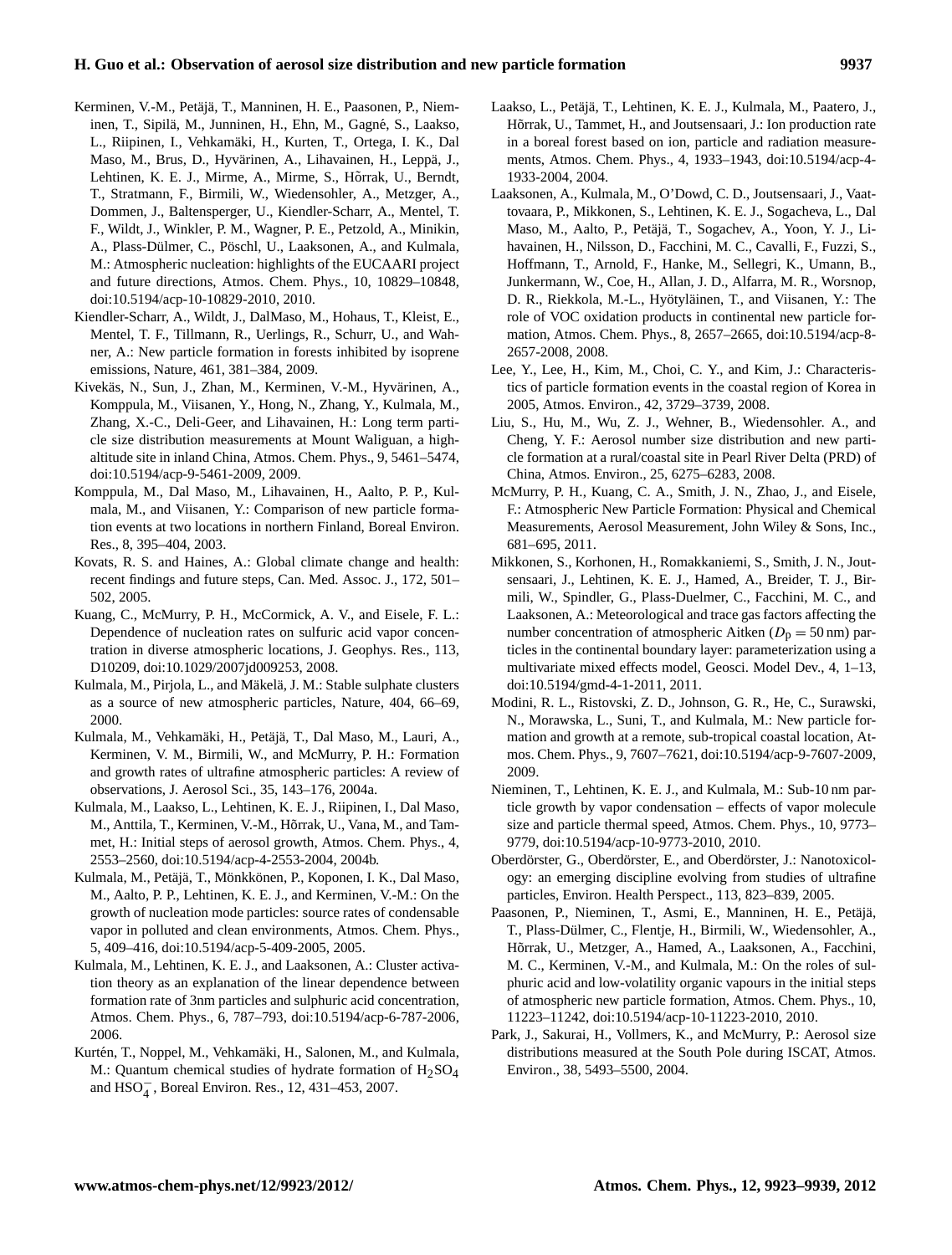- Kerminen, V.-M., Petäjä, T., Manninen, H. E., Paasonen, P., Nieminen, T., Sipilä, M., Junninen, H., Ehn, M., Gagné, S., Laakso, L., Riipinen, I., Vehkamäki, H., Kurten, T., Ortega, I. K., Dal Maso, M., Brus, D., Hyvärinen, A., Lihavainen, H., Leppä, J., Lehtinen, K. E. J., Mirme, A., Mirme, S., Hõrrak, U., Berndt, T., Stratmann, F., Birmili, W., Wiedensohler, A., Metzger, A., Dommen, J., Baltensperger, U., Kiendler-Scharr, A., Mentel, T. F., Wildt, J., Winkler, P. M., Wagner, P. E., Petzold, A., Minikin, A., Plass-Dülmer, C., Pöschl, U., Laaksonen, A., and Kulmala, M.: Atmospheric nucleation: highlights of the EUCAARI project and future directions, Atmos. Chem. Phys., 10, 10829–10848, [doi:10.5194/acp-10-10829-2010,](http://dx.doi.org/10.5194/acp-10-10829-2010) 2010.
- Kiendler-Scharr, A., Wildt, J., DalMaso, M., Hohaus, T., Kleist, E., Mentel, T. F., Tillmann, R., Uerlings, R., Schurr, U., and Wahner, A.: New particle formation in forests inhibited by isoprene emissions, Nature, 461, 381–384, 2009.
- Kivekäs, N., Sun, J., Zhan, M., Kerminen, V.-M., Hyvärinen, A., Komppula, M., Viisanen, Y., Hong, N., Zhang, Y., Kulmala, M., Zhang, X.-C., Deli-Geer, and Lihavainen, H.: Long term particle size distribution measurements at Mount Waliguan, a highaltitude site in inland China, Atmos. Chem. Phys., 9, 5461–5474, [doi:10.5194/acp-9-5461-2009,](http://dx.doi.org/10.5194/acp-9-5461-2009) 2009.
- Komppula, M., Dal Maso, M., Lihavainen, H., Aalto, P. P., Kulmala, M., and Viisanen, Y.: Comparison of new particle formation events at two locations in northern Finland, Boreal Environ. Res., 8, 395–404, 2003.
- Kovats, R. S. and Haines, A.: Global climate change and health: recent findings and future steps, Can. Med. Assoc. J., 172, 501– 502, 2005.
- Kuang, C., McMurry, P. H., McCormick, A. V., and Eisele, F. L.: Dependence of nucleation rates on sulfuric acid vapor concentration in diverse atmospheric locations, J. Geophys. Res., 113, D10209, [doi:10.1029/2007jd009253,](http://dx.doi.org/10.1029/2007jd009253) 2008.
- Kulmala, M., Pirjola, L., and Mäkelä, J. M.: Stable sulphate clusters as a source of new atmospheric particles, Nature, 404, 66–69, 2000.
- Kulmala, M., Vehkamäki, H., Petäjä, T., Dal Maso, M., Lauri, A., Kerminen, V. M., Birmili, W., and McMurry, P. H.: Formation and growth rates of ultrafine atmospheric particles: A review of observations, J. Aerosol Sci., 35, 143–176, 2004a.
- Kulmala, M., Laakso, L., Lehtinen, K. E. J., Riipinen, I., Dal Maso, M., Anttila, T., Kerminen, V.-M., Hõrrak, U., Vana, M., and Tammet, H.: Initial steps of aerosol growth, Atmos. Chem. Phys., 4, 2553–2560, [doi:10.5194/acp-4-2553-2004,](http://dx.doi.org/10.5194/acp-4-2553-2004) 2004b.
- Kulmala, M., Petäjä, T., Mönkkönen, P., Koponen, I. K., Dal Maso, M., Aalto, P. P., Lehtinen, K. E. J., and Kerminen, V.-M.: On the growth of nucleation mode particles: source rates of condensable vapor in polluted and clean environments, Atmos. Chem. Phys., 5, 409–416, [doi:10.5194/acp-5-409-2005,](http://dx.doi.org/10.5194/acp-5-409-2005) 2005.
- Kulmala, M., Lehtinen, K. E. J., and Laaksonen, A.: Cluster activation theory as an explanation of the linear dependence between formation rate of 3nm particles and sulphuric acid concentration, Atmos. Chem. Phys., 6, 787–793, [doi:10.5194/acp-6-787-2006,](http://dx.doi.org/10.5194/acp-6-787-2006) 2006.
- Kurtén, T., Noppel, M., Vehkamäki, H., Salonen, M., and Kulmala, M.: Quantum chemical studies of hydrate formation of H<sub>2</sub>SO<sub>4</sub> and  $HSO_4^-$ , Boreal Environ. Res., 12, 431–453, 2007.
- Laakso, L., Petäjä, T., Lehtinen, K. E. J., Kulmala, M., Paatero, J., Hõrrak, U., Tammet, H., and Joutsensaari, J.: Ion production rate in a boreal forest based on ion, particle and radiation measurements, Atmos. Chem. Phys., 4, 1933–1943, [doi:10.5194/acp-4-](http://dx.doi.org/10.5194/acp-4-1933-2004) [1933-2004,](http://dx.doi.org/10.5194/acp-4-1933-2004) 2004.
- Laaksonen, A., Kulmala, M., O'Dowd, C. D., Joutsensaari, J., Vaattovaara, P., Mikkonen, S., Lehtinen, K. E. J., Sogacheva, L., Dal Maso, M., Aalto, P., Petäjä, T., Sogachev, A., Yoon, Y. J., Lihavainen, H., Nilsson, D., Facchini, M. C., Cavalli, F., Fuzzi, S., Hoffmann, T., Arnold, F., Hanke, M., Sellegri, K., Umann, B., Junkermann, W., Coe, H., Allan, J. D., Alfarra, M. R., Worsnop, D. R., Riekkola, M.-L., Hyötyläinen, T., and Viisanen, Y.: The role of VOC oxidation products in continental new particle formation, Atmos. Chem. Phys., 8, 2657–2665, [doi:10.5194/acp-8-](http://dx.doi.org/10.5194/acp-8-2657-2008) [2657-2008,](http://dx.doi.org/10.5194/acp-8-2657-2008) 2008.
- Lee, Y., Lee, H., Kim, M., Choi, C. Y., and Kim, J.: Characteristics of particle formation events in the coastal region of Korea in 2005, Atmos. Environ., 42, 3729–3739, 2008.
- Liu, S., Hu, M., Wu, Z. J., Wehner, B., Wiedensohler. A., and Cheng, Y. F.: Aerosol number size distribution and new particle formation at a rural/coastal site in Pearl River Delta (PRD) of China, Atmos. Environ., 25, 6275–6283, 2008.
- McMurry, P. H., Kuang, C. A., Smith, J. N., Zhao, J., and Eisele, F.: Atmospheric New Particle Formation: Physical and Chemical Measurements, Aerosol Measurement, John Wiley & Sons, Inc., 681–695, 2011.
- Mikkonen, S., Korhonen, H., Romakkaniemi, S., Smith, J. N., Joutsensaari, J., Lehtinen, K. E. J., Hamed, A., Breider, T. J., Birmili, W., Spindler, G., Plass-Duelmer, C., Facchini, M. C., and Laaksonen, A.: Meteorological and trace gas factors affecting the number concentration of atmospheric Aitken ( $D_p = 50$  nm) particles in the continental boundary layer: parameterization using a multivariate mixed effects model, Geosci. Model Dev., 4, 1–13, [doi:10.5194/gmd-4-1-2011,](http://dx.doi.org/10.5194/gmd-4-1-2011) 2011.
- Modini, R. L., Ristovski, Z. D., Johnson, G. R., He, C., Surawski, N., Morawska, L., Suni, T., and Kulmala, M.: New particle formation and growth at a remote, sub-tropical coastal location, Atmos. Chem. Phys., 9, 7607–7621, [doi:10.5194/acp-9-7607-2009,](http://dx.doi.org/10.5194/acp-9-7607-2009) 2009.
- Nieminen, T., Lehtinen, K. E. J., and Kulmala, M.: Sub-10 nm particle growth by vapor condensation – effects of vapor molecule size and particle thermal speed, Atmos. Chem. Phys., 10, 9773– 9779, [doi:10.5194/acp-10-9773-2010,](http://dx.doi.org/10.5194/acp-10-9773-2010) 2010.
- Oberdörster, G., Oberdörster, E., and Oberdörster, J.: Nanotoxicology: an emerging discipline evolving from studies of ultrafine particles, Environ. Health Perspect., 113, 823–839, 2005.
- Paasonen, P., Nieminen, T., Asmi, E., Manninen, H. E., Petäjä, T., Plass-Dülmer, C., Flentje, H., Birmili, W., Wiedensohler, A., Hõrrak, U., Metzger, A., Hamed, A., Laaksonen, A., Facchini, M. C., Kerminen, V.-M., and Kulmala, M.: On the roles of sulphuric acid and low-volatility organic vapours in the initial steps of atmospheric new particle formation, Atmos. Chem. Phys., 10, 11223–11242, [doi:10.5194/acp-10-11223-2010,](http://dx.doi.org/10.5194/acp-10-11223-2010) 2010.
- Park, J., Sakurai, H., Vollmers, K., and McMurry, P.: Aerosol size distributions measured at the South Pole during ISCAT, Atmos. Environ., 38, 5493–5500, 2004.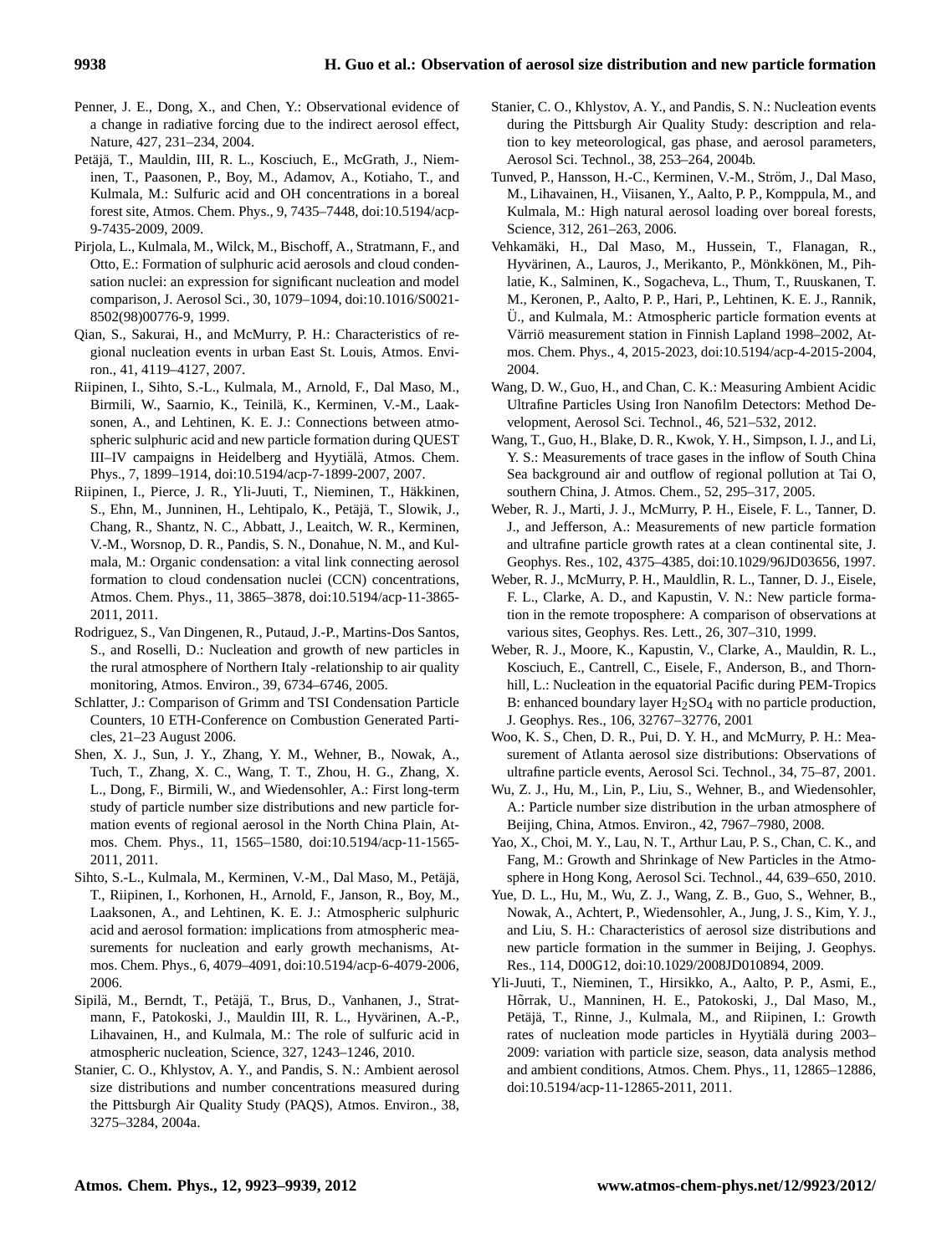- Penner, J. E., Dong, X., and Chen, Y.: Observational evidence of a change in radiative forcing due to the indirect aerosol effect, Nature, 427, 231–234, 2004.
- Petäjä, T., Mauldin, III, R. L., Kosciuch, E., McGrath, J., Nieminen, T., Paasonen, P., Boy, M., Adamov, A., Kotiaho, T., and Kulmala, M.: Sulfuric acid and OH concentrations in a boreal forest site, Atmos. Chem. Phys., 9, 7435–7448, [doi:10.5194/acp-](http://dx.doi.org/10.5194/acp-9-7435-2009)[9-7435-2009,](http://dx.doi.org/10.5194/acp-9-7435-2009) 2009.
- Pirjola, L., Kulmala, M., Wilck, M., Bischoff, A., Stratmann, F., and Otto, E.: Formation of sulphuric acid aerosols and cloud condensation nuclei: an expression for significant nucleation and model comparison, J. Aerosol Sci., 30, 1079–1094, [doi:10.1016/S0021-](http://dx.doi.org/10.1016/S0021-8502(98)00776-9) [8502\(98\)00776-9,](http://dx.doi.org/10.1016/S0021-8502(98)00776-9) 1999.
- Qian, S., Sakurai, H., and McMurry, P. H.: Characteristics of regional nucleation events in urban East St. Louis, Atmos. Environ., 41, 4119–4127, 2007.
- Riipinen, I., Sihto, S.-L., Kulmala, M., Arnold, F., Dal Maso, M., Birmili, W., Saarnio, K., Teinila, K., Kerminen, V.-M., Laak- ¨ sonen, A., and Lehtinen, K. E. J.: Connections between atmospheric sulphuric acid and new particle formation during QUEST III–IV campaigns in Heidelberg and Hyytiälä, Atmos. Chem. Phys., 7, 1899–1914, [doi:10.5194/acp-7-1899-2007,](http://dx.doi.org/10.5194/acp-7-1899-2007) 2007.
- Riipinen, I., Pierce, J. R., Yli-Juuti, T., Nieminen, T., Häkkinen, S., Ehn, M., Junninen, H., Lehtipalo, K., Petäjä, T., Slowik, J., Chang, R., Shantz, N. C., Abbatt, J., Leaitch, W. R., Kerminen, V.-M., Worsnop, D. R., Pandis, S. N., Donahue, N. M., and Kulmala, M.: Organic condensation: a vital link connecting aerosol formation to cloud condensation nuclei (CCN) concentrations, Atmos. Chem. Phys., 11, 3865–3878, [doi:10.5194/acp-11-3865-](http://dx.doi.org/10.5194/acp-11-3865-2011) [2011,](http://dx.doi.org/10.5194/acp-11-3865-2011) 2011.
- Rodriguez, S., Van Dingenen, R., Putaud, J.-P., Martins-Dos Santos, S., and Roselli, D.: Nucleation and growth of new particles in the rural atmosphere of Northern Italy -relationship to air quality monitoring, Atmos. Environ., 39, 6734–6746, 2005.
- Schlatter, J.: Comparison of Grimm and TSI Condensation Particle Counters, 10 ETH-Conference on Combustion Generated Particles, 21–23 August 2006.
- Shen, X. J., Sun, J. Y., Zhang, Y. M., Wehner, B., Nowak, A., Tuch, T., Zhang, X. C., Wang, T. T., Zhou, H. G., Zhang, X. L., Dong, F., Birmili, W., and Wiedensohler, A.: First long-term study of particle number size distributions and new particle formation events of regional aerosol in the North China Plain, Atmos. Chem. Phys., 11, 1565–1580, [doi:10.5194/acp-11-1565-](http://dx.doi.org/10.5194/acp-11-1565-2011) [2011,](http://dx.doi.org/10.5194/acp-11-1565-2011) 2011.
- Sihto, S.-L., Kulmala, M., Kerminen, V.-M., Dal Maso, M., Petäjä, T., Riipinen, I., Korhonen, H., Arnold, F., Janson, R., Boy, M., Laaksonen, A., and Lehtinen, K. E. J.: Atmospheric sulphuric acid and aerosol formation: implications from atmospheric measurements for nucleation and early growth mechanisms, Atmos. Chem. Phys., 6, 4079–4091, [doi:10.5194/acp-6-4079-2006,](http://dx.doi.org/10.5194/acp-6-4079-2006) 2006.
- Sipilä, M., Berndt, T., Petäjä, T., Brus, D., Vanhanen, J., Stratmann, F., Patokoski, J., Mauldin III, R. L., Hyvärinen, A.-P., Lihavainen, H., and Kulmala, M.: The role of sulfuric acid in atmospheric nucleation, Science, 327, 1243–1246, 2010.
- Stanier, C. O., Khlystov, A. Y., and Pandis, S. N.: Ambient aerosol size distributions and number concentrations measured during the Pittsburgh Air Quality Study (PAQS), Atmos. Environ., 38, 3275–3284, 2004a.
- Stanier, C. O., Khlystov, A. Y., and Pandis, S. N.: Nucleation events during the Pittsburgh Air Quality Study: description and relation to key meteorological, gas phase, and aerosol parameters, Aerosol Sci. Technol., 38, 253–264, 2004b.
- Tunved, P., Hansson, H.-C., Kerminen, V.-M., Ström, J., Dal Maso, M., Lihavainen, H., Viisanen, Y., Aalto, P. P., Komppula, M., and Kulmala, M.: High natural aerosol loading over boreal forests, Science, 312, 261–263, 2006.
- Vehkamaki, H., Dal Maso, M., Hussein, T., Flanagan, R., ¨ Hyvärinen, A., Lauros, J., Merikanto, P., Mönkkönen, M., Pihlatie, K., Salminen, K., Sogacheva, L., Thum, T., Ruuskanen, T. M., Keronen, P., Aalto, P. P., Hari, P., Lehtinen, K. E. J., Rannik, U., and Kulmala, M.: Atmospheric particle formation events at Värriö measurement station in Finnish Lapland 1998–2002, Atmos. Chem. Phys., 4, 2015-2023, [doi:10.5194/acp-4-2015-2004,](http://dx.doi.org/10.5194/acp-4-2015-2004) 2004.
- Wang, D. W., Guo, H., and Chan, C. K.: Measuring Ambient Acidic Ultrafine Particles Using Iron Nanofilm Detectors: Method Development, Aerosol Sci. Technol., 46, 521–532, 2012.
- Wang, T., Guo, H., Blake, D. R., Kwok, Y. H., Simpson, I. J., and Li, Y. S.: Measurements of trace gases in the inflow of South China Sea background air and outflow of regional pollution at Tai O, southern China, J. Atmos. Chem., 52, 295–317, 2005.
- Weber, R. J., Marti, J. J., McMurry, P. H., Eisele, F. L., Tanner, D. J., and Jefferson, A.: Measurements of new particle formation and ultrafine particle growth rates at a clean continental site, J. Geophys. Res., 102, 4375–4385, [doi:10.1029/96JD03656,](http://dx.doi.org/10.1029/96JD03656) 1997.
- Weber, R. J., McMurry, P. H., Mauldlin, R. L., Tanner, D. J., Eisele, F. L., Clarke, A. D., and Kapustin, V. N.: New particle formation in the remote troposphere: A comparison of observations at various sites, Geophys. Res. Lett., 26, 307–310, 1999.
- Weber, R. J., Moore, K., Kapustin, V., Clarke, A., Mauldin, R. L., Kosciuch, E., Cantrell, C., Eisele, F., Anderson, B., and Thornhill, L.: Nucleation in the equatorial Pacific during PEM-Tropics B: enhanced boundary layer  $H_2SO_4$  with no particle production, J. Geophys. Res., 106, 32767–32776, 2001
- Woo, K. S., Chen, D. R., Pui, D. Y. H., and McMurry, P. H.: Measurement of Atlanta aerosol size distributions: Observations of ultrafine particle events, Aerosol Sci. Technol., 34, 75–87, 2001.
- Wu, Z. J., Hu, M., Lin, P., Liu, S., Wehner, B., and Wiedensohler, A.: Particle number size distribution in the urban atmosphere of Beijing, China, Atmos. Environ., 42, 7967–7980, 2008.
- Yao, X., Choi, M. Y., Lau, N. T., Arthur Lau, P. S., Chan, C. K., and Fang, M.: Growth and Shrinkage of New Particles in the Atmosphere in Hong Kong, Aerosol Sci. Technol., 44, 639–650, 2010.
- Yue, D. L., Hu, M., Wu, Z. J., Wang, Z. B., Guo, S., Wehner, B., Nowak, A., Achtert, P., Wiedensohler, A., Jung, J. S., Kim, Y. J., and Liu, S. H.: Characteristics of aerosol size distributions and new particle formation in the summer in Beijing, J. Geophys. Res., 114, D00G12, [doi:10.1029/2008JD010894,](http://dx.doi.org/10.1029/2008JD010894) 2009.
- Yli-Juuti, T., Nieminen, T., Hirsikko, A., Aalto, P. P., Asmi, E., Hõrrak, U., Manninen, H. E., Patokoski, J., Dal Maso, M., Petäjä, T., Rinne, J., Kulmala, M., and Riipinen, I.: Growth rates of nucleation mode particles in Hyytialä during 2003– 2009: variation with particle size, season, data analysis method and ambient conditions, Atmos. Chem. Phys., 11, 12865–12886, [doi:10.5194/acp-11-12865-2011,](http://dx.doi.org/10.5194/acp-11-12865-2011) 2011.